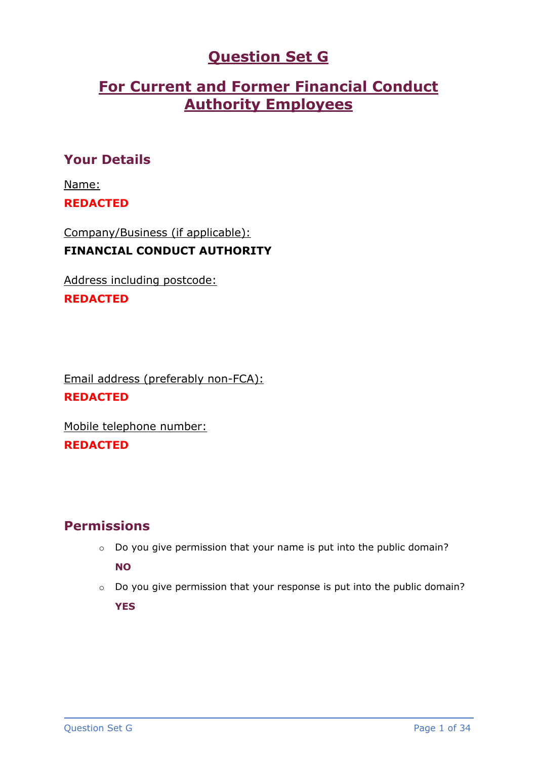# **Question Set G**

# **For Current and Former Financial Conduct Authority Employees**

# **Your Details**

Name: **REDACTED**

Company/Business (if applicable): **FINANCIAL CONDUCT AUTHORITY**

Address including postcode:

# **REDACTED**

Email address (preferably non-FCA): **REDACTED**

Mobile telephone number: **REDACTED**

# **Permissions**

o Do you give permission that your name is put into the public domain?

**NO**

o Do you give permission that your response is put into the public domain?

**YES**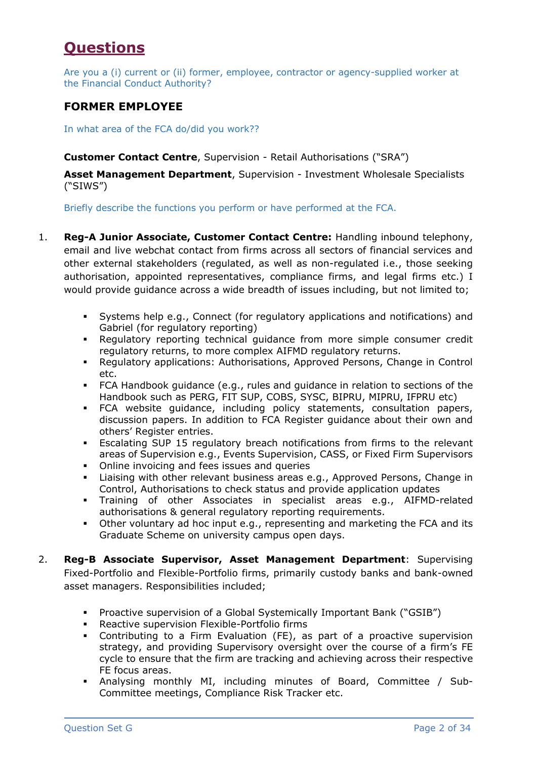# **Questions**

Are you a (i) current or (ii) former, employee, contractor or agency-supplied worker at the Financial Conduct Authority?

# **FORMER EMPLOYEE**

In what area of the FCA do/did you work??

**Customer Contact Centre**, Supervision - Retail Authorisations ("SRA")

**Asset Management Department**, Supervision - Investment Wholesale Specialists ("SIWS")

Briefly describe the functions you perform or have performed at the FCA.

- 1. **Reg-A Junior Associate, Customer Contact Centre:** Handling inbound telephony, email and live webchat contact from firms across all sectors of financial services and other external stakeholders (regulated, as well as non-regulated i.e., those seeking authorisation, appointed representatives, compliance firms, and legal firms etc.) I would provide guidance across a wide breadth of issues including, but not limited to;
	- Systems help e.g., Connect (for regulatory applications and notifications) and Gabriel (for regulatory reporting)
	- Regulatory reporting technical guidance from more simple consumer credit regulatory returns, to more complex AIFMD regulatory returns.
	- Regulatory applications: Authorisations, Approved Persons, Change in Control etc.
	- FCA Handbook guidance (e.g., rules and guidance in relation to sections of the Handbook such as PERG, FIT SUP, COBS, SYSC, BIPRU, MIPRU, IFPRU etc)
	- FCA website guidance, including policy statements, consultation papers, discussion papers. In addition to FCA Register guidance about their own and others' Register entries.
	- Escalating SUP 15 regulatory breach notifications from firms to the relevant areas of Supervision e.g., Events Supervision, CASS, or Fixed Firm Supervisors
	- Online invoicing and fees issues and queries
	- Liaising with other relevant business areas e.g., Approved Persons, Change in Control, Authorisations to check status and provide application updates
	- Training of other Associates in specialist areas e.g., AIFMD-related authorisations & general regulatory reporting requirements.
	- Other voluntary ad hoc input e.g., representing and marketing the FCA and its Graduate Scheme on university campus open days.
- 2. **Reg-B Associate Supervisor, Asset Management Department**: Supervising Fixed-Portfolio and Flexible-Portfolio firms, primarily custody banks and bank-owned asset managers. Responsibilities included;
	- Proactive supervision of a Global Systemically Important Bank ("GSIB")
	- Reactive supervision Flexible-Portfolio firms
	- Contributing to a Firm Evaluation (FE), as part of a proactive supervision strategy, and providing Supervisory oversight over the course of a firm's FE cycle to ensure that the firm are tracking and achieving across their respective FE focus areas.
	- Analysing monthly MI, including minutes of Board, Committee / Sub-Committee meetings, Compliance Risk Tracker etc.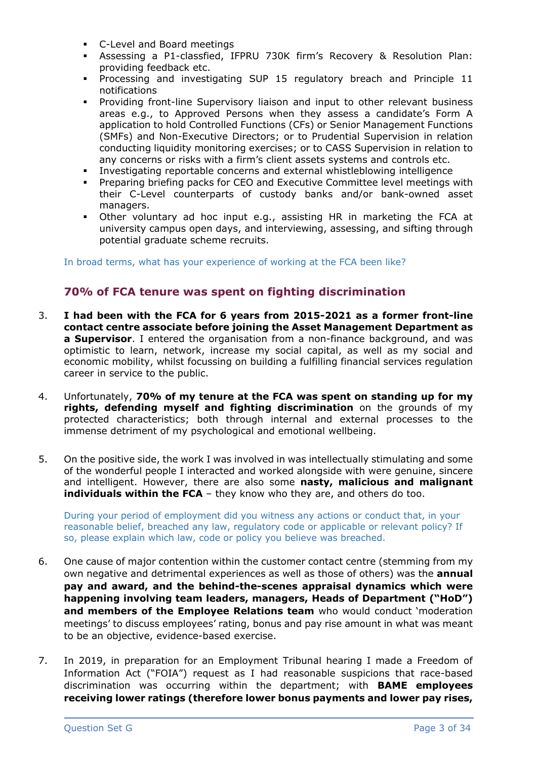- C-Level and Board meetings
- Assessing a P1-classfied, IFPRU 730K firm's Recovery & Resolution Plan: providing feedback etc.
- Processing and investigating SUP 15 regulatory breach and Principle 11 notifications
- Providing front-line Supervisory liaison and input to other relevant business areas e.g., to Approved Persons when they assess a candidate's Form A application to hold Controlled Functions (CFs) or Senior Management Functions (SMFs) and Non-Executive Directors; or to Prudential Supervision in relation conducting liquidity monitoring exercises; or to CASS Supervision in relation to any concerns or risks with a firm's client assets systems and controls etc.
- Investigating reportable concerns and external whistleblowing intelligence
- **•** Preparing briefing packs for CEO and Executive Committee level meetings with their C-Level counterparts of custody banks and/or bank-owned asset managers.
- Other voluntary ad hoc input e.g., assisting HR in marketing the FCA at university campus open days, and interviewing, assessing, and sifting through potential graduate scheme recruits.

In broad terms, what has your experience of working at the FCA been like?

## **70% of FCA tenure was spent on fighting discrimination**

- 3. **I had been with the FCA for 6 years from 2015-2021 as a former front-line contact centre associate before joining the Asset Management Department as a Supervisor.** I entered the organisation from a non-finance background, and was optimistic to learn, network, increase my social capital, as well as my social and economic mobility, whilst focussing on building a fulfilling financial services regulation career in service to the public.
- 4. Unfortunately, **70% of my tenure at the FCA was spent on standing up for my rights, defending myself and fighting discrimination** on the grounds of my protected characteristics; both through internal and external processes to the immense detriment of my psychological and emotional wellbeing.
- 5. On the positive side, the work I was involved in was intellectually stimulating and some of the wonderful people I interacted and worked alongside with were genuine, sincere and intelligent. However, there are also some **nasty, malicious and malignant individuals within the FCA** – they know who they are, and others do too.

During your period of employment did you witness any actions or conduct that, in your reasonable belief, breached any law, regulatory code or applicable or relevant policy? If so, please explain which law, code or policy you believe was breached.

- 6. One cause of major contention within the customer contact centre (stemming from my own negative and detrimental experiences as well as those of others) was the **annual pay and award, and the behind-the-scenes appraisal dynamics which were happening involving team leaders, managers, Heads of Department ("HoD") and members of the Employee Relations team** who would conduct 'moderation meetings' to discuss employees' rating, bonus and pay rise amount in what was meant to be an objective, evidence-based exercise.
- 7. In 2019, in preparation for an Employment Tribunal hearing I made a Freedom of Information Act ("FOIA") request as I had reasonable suspicions that race-based discrimination was occurring within the department; with **BAME employees receiving lower ratings (therefore lower bonus payments and lower pay rises,**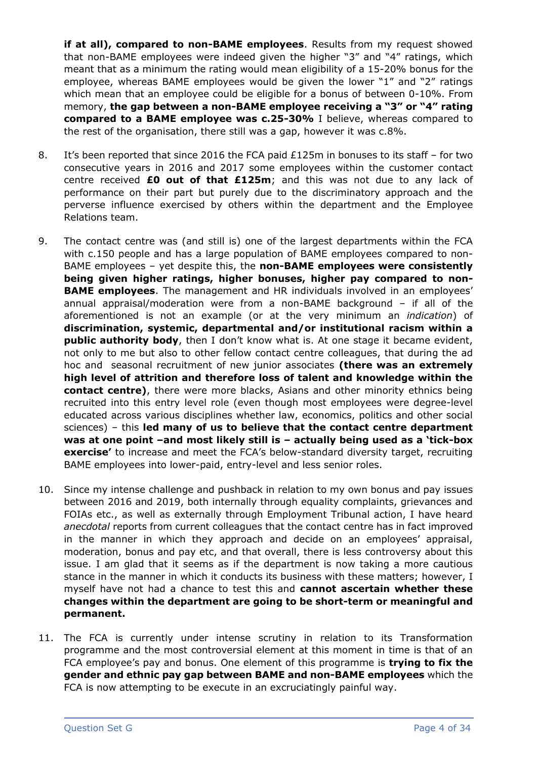**if at all), compared to non-BAME employees**. Results from my request showed that non-BAME employees were indeed given the higher "3" and "4" ratings, which meant that as a minimum the rating would mean eligibility of a 15-20% bonus for the employee, whereas BAME employees would be given the lower "1" and "2" ratings which mean that an employee could be eligible for a bonus of between 0-10%. From memory, **the gap between a non-BAME employee receiving a "3" or "4" rating compared to a BAME employee was c.25-30%** I believe, whereas compared to the rest of the organisation, there still was a gap, however it was c.8%.

- 8. It's been reported that since 2016 the FCA paid £125m in bonuses to its staff for two consecutive years in 2016 and 2017 some employees within the customer contact centre received **£0 out of that £125m**; and this was not due to any lack of performance on their part but purely due to the discriminatory approach and the perverse influence exercised by others within the department and the Employee Relations team.
- 9. The contact centre was (and still is) one of the largest departments within the FCA with c.150 people and has a large population of BAME employees compared to non-BAME employees – yet despite this, the **non-BAME employees were consistently being given higher ratings, higher bonuses, higher pay compared to non-BAME employees**. The management and HR individuals involved in an employees' annual appraisal/moderation were from a non-BAME background – if all of the aforementioned is not an example (or at the very minimum an *indication*) of **discrimination, systemic, departmental and/or institutional racism within a public authority body**, then I don't know what is. At one stage it became evident, not only to me but also to other fellow contact centre colleagues, that during the ad hoc and seasonal recruitment of new junior associates **(there was an extremely high level of attrition and therefore loss of talent and knowledge within the contact centre)**, there were more blacks, Asians and other minority ethnics being recruited into this entry level role (even though most employees were degree-level educated across various disciplines whether law, economics, politics and other social sciences) – this **led many of us to believe that the contact centre department was at one point –and most likely still is – actually being used as a 'tick-box exercise'** to increase and meet the FCA's below-standard diversity target, recruiting BAME employees into lower-paid, entry-level and less senior roles.
- 10. Since my intense challenge and pushback in relation to my own bonus and pay issues between 2016 and 2019, both internally through equality complaints, grievances and FOIAs etc., as well as externally through Employment Tribunal action, I have heard *anecdotal* reports from current colleagues that the contact centre has in fact improved in the manner in which they approach and decide on an employees' appraisal, moderation, bonus and pay etc, and that overall, there is less controversy about this issue. I am glad that it seems as if the department is now taking a more cautious stance in the manner in which it conducts its business with these matters; however, I myself have not had a chance to test this and **cannot ascertain whether these changes within the department are going to be short-term or meaningful and permanent.**
- 11. The FCA is currently under intense scrutiny in relation to its Transformation programme and the most controversial element at this moment in time is that of an FCA employee's pay and bonus. One element of this programme is **trying to fix the gender and ethnic pay gap between BAME and non-BAME employees** which the FCA is now attempting to be execute in an excruciatingly painful way.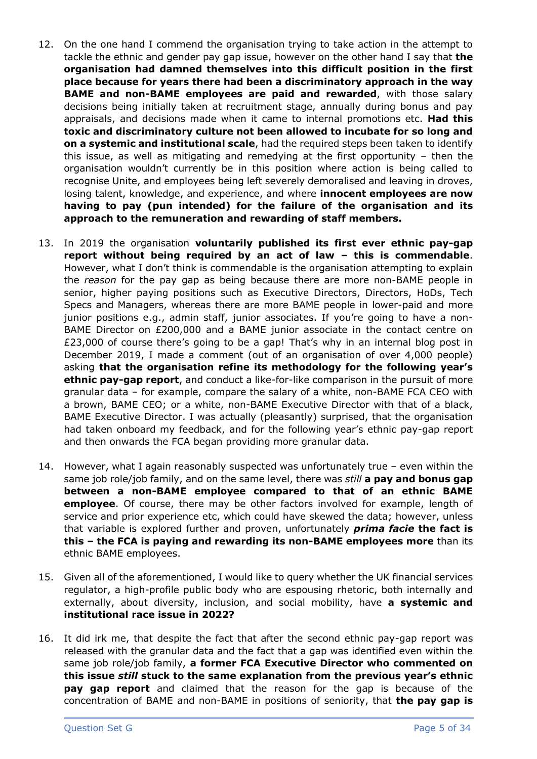- 12. On the one hand I commend the organisation trying to take action in the attempt to tackle the ethnic and gender pay gap issue, however on the other hand I say that **the organisation had damned themselves into this difficult position in the first place because for years there had been a discriminatory approach in the way BAME and non-BAME employees are paid and rewarded**, with those salary decisions being initially taken at recruitment stage, annually during bonus and pay appraisals, and decisions made when it came to internal promotions etc. **Had this toxic and discriminatory culture not been allowed to incubate for so long and on a systemic and institutional scale**, had the required steps been taken to identify this issue, as well as mitigating and remedying at the first opportunity – then the organisation wouldn't currently be in this position where action is being called to recognise Unite, and employees being left severely demoralised and leaving in droves, losing talent, knowledge, and experience, and where **innocent employees are now having to pay (pun intended) for the failure of the organisation and its approach to the remuneration and rewarding of staff members.**
- 13. In 2019 the organisation **voluntarily published its first ever ethnic pay-gap report without being required by an act of law – this is commendable**. However, what I don't think is commendable is the organisation attempting to explain the *reason* for the pay gap as being because there are more non-BAME people in senior, higher paying positions such as Executive Directors, Directors, HoDs, Tech Specs and Managers, whereas there are more BAME people in lower-paid and more junior positions e.g., admin staff, junior associates. If you're going to have a non-BAME Director on £200,000 and a BAME junior associate in the contact centre on £23,000 of course there's going to be a gap! That's why in an internal blog post in December 2019, I made a comment (out of an organisation of over 4,000 people) asking **that the organisation refine its methodology for the following year's ethnic pay-gap report**, and conduct a like-for-like comparison in the pursuit of more granular data – for example, compare the salary of a white, non-BAME FCA CEO with a brown, BAME CEO; or a white, non-BAME Executive Director with that of a black, BAME Executive Director. I was actually (pleasantly) surprised, that the organisation had taken onboard my feedback, and for the following year's ethnic pay-gap report and then onwards the FCA began providing more granular data.
- 14. However, what I again reasonably suspected was unfortunately true even within the same job role/job family, and on the same level, there was *still* **a pay and bonus gap between a non-BAME employee compared to that of an ethnic BAME employee**. Of course, there may be other factors involved for example, length of service and prior experience etc, which could have skewed the data; however, unless that variable is explored further and proven, unfortunately *prima facie* **the fact is this – the FCA is paying and rewarding its non-BAME employees more** than its ethnic BAME employees.
- 15. Given all of the aforementioned, I would like to query whether the UK financial services regulator, a high-profile public body who are espousing rhetoric, both internally and externally, about diversity, inclusion, and social mobility, have **a systemic and institutional race issue in 2022?**
- 16. It did irk me, that despite the fact that after the second ethnic pay-gap report was released with the granular data and the fact that a gap was identified even within the same job role/job family, **a former FCA Executive Director who commented on this issue** *still* **stuck to the same explanation from the previous year's ethnic pay gap report** and claimed that the reason for the gap is because of the concentration of BAME and non-BAME in positions of seniority, that **the pay gap is**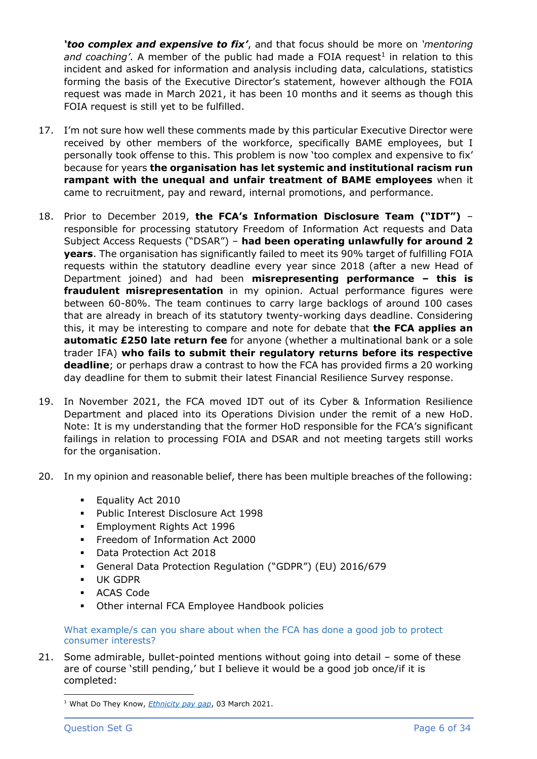*'too complex and expensive to fix'*, and that focus should be more on *'mentoring*  and coaching'. A member of the public had made a FOIA request<sup>1</sup> in relation to this incident and asked for information and analysis including data, calculations, statistics forming the basis of the Executive Director's statement, however although the FOIA request was made in March 2021, it has been 10 months and it seems as though this FOIA request is still yet to be fulfilled.

- 17. I'm not sure how well these comments made by this particular Executive Director were received by other members of the workforce, specifically BAME employees, but I personally took offense to this. This problem is now 'too complex and expensive to fix' because for years **the organisation has let systemic and institutional racism run rampant with the unequal and unfair treatment of BAME employees** when it came to recruitment, pay and reward, internal promotions, and performance.
- 18. Prior to December 2019, **the FCA's Information Disclosure Team ("IDT")** responsible for processing statutory Freedom of Information Act requests and Data Subject Access Requests ("DSAR") – **had been operating unlawfully for around 2 years**. The organisation has significantly failed to meet its 90% target of fulfilling FOIA requests within the statutory deadline every year since 2018 (after a new Head of Department joined) and had been **misrepresenting performance – this is fraudulent misrepresentation** in my opinion. Actual performance figures were between 60-80%. The team continues to carry large backlogs of around 100 cases that are already in breach of its statutory twenty-working days deadline. Considering this, it may be interesting to compare and note for debate that **the FCA applies an automatic £250 late return fee** for anyone (whether a multinational bank or a sole trader IFA) **who fails to submit their regulatory returns before its respective deadline**; or perhaps draw a contrast to how the FCA has provided firms a 20 working day deadline for them to submit their latest Financial Resilience Survey response.
- 19. In November 2021, the FCA moved IDT out of its Cyber & Information Resilience Department and placed into its Operations Division under the remit of a new HoD. Note: It is my understanding that the former HoD responsible for the FCA's significant failings in relation to processing FOIA and DSAR and not meeting targets still works for the organisation.
- 20. In my opinion and reasonable belief, there has been multiple breaches of the following:
	- **Equality Act 2010**
	- Public Interest Disclosure Act 1998
	- **Employment Rights Act 1996**
	- Freedom of Information Act 2000
	- Data Protection Act 2018
	- General Data Protection Regulation ("GDPR") (EU) 2016/679
	- UK GDPR
	- ACAS Code
	- Other internal FCA Employee Handbook policies

What example/s can you share about when the FCA has done a good job to protect consumer interests?

21. Some admirable, bullet-pointed mentions without going into detail – some of these are of course 'still pending,' but I believe it would be a good job once/if it is completed:

<sup>1</sup> What Do They Know, *[Ethnicity pay gap](https://www.whatdotheyknow.com/request/ethnicity_pay_gap_2#comment-100437)*, 03 March 2021.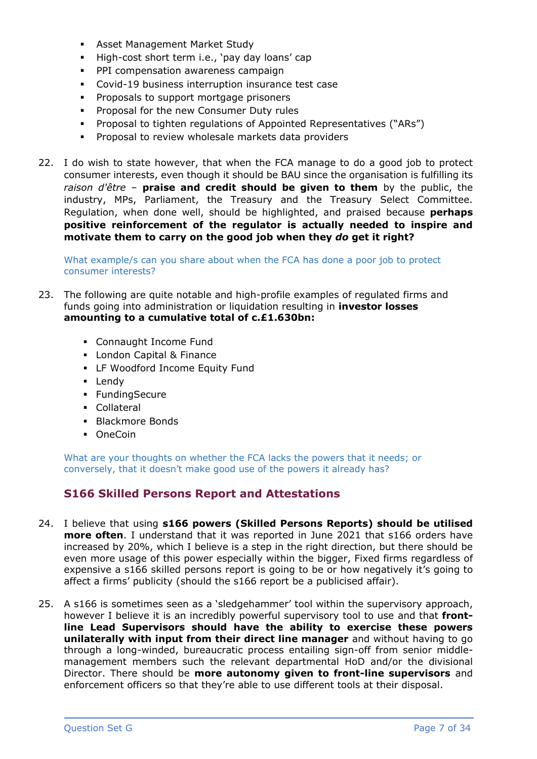- **EXECT:** Asset Management Market Study
- High-cost short term i.e., 'pay day loans' cap
- **PPI compensation awareness campaign**
- Covid-19 business interruption insurance test case
- **•** Proposals to support mortgage prisoners
- **Proposal for the new Consumer Duty rules**
- Proposal to tighten regulations of Appointed Representatives ("ARs")
- Proposal to review wholesale markets data providers
- 22. I do wish to state however, that when the FCA manage to do a good job to protect consumer interests, even though it should be BAU since the organisation is fulfilling its *raison d'être* – **praise and credit should be given to them** by the public, the industry, MPs, Parliament, the Treasury and the Treasury Select Committee. Regulation, when done well, should be highlighted, and praised because **perhaps positive reinforcement of the regulator is actually needed to inspire and motivate them to carry on the good job when they** *do* **get it right?**

What example/s can you share about when the FCA has done a poor job to protect consumer interests?

- 23. The following are quite notable and high-profile examples of regulated firms and funds going into administration or liquidation resulting in **investor losses amounting to a cumulative total of c.£1.630bn:**
	- Connaught Income Fund
	- London Capital & Finance
	- **EXECT** LF Woodford Income Equity Fund
	- Lendy
	- FundingSecure
	- Collateral
	- Blackmore Bonds
	- OneCoin

What are your thoughts on whether the FCA lacks the powers that it needs; or conversely, that it doesn't make good use of the powers it already has?

# **S166 Skilled Persons Report and Attestations**

- 24. I believe that using **s166 powers (Skilled Persons Reports) should be utilised more often**. I understand that it was reported in June 2021 that s166 orders have increased by 20%, which I believe is a step in the right direction, but there should be even more usage of this power especially within the bigger, Fixed firms regardless of expensive a s166 skilled persons report is going to be or how negatively it's going to affect a firms' publicity (should the s166 report be a publicised affair).
- 25. A s166 is sometimes seen as a 'sledgehammer' tool within the supervisory approach, however I believe it is an incredibly powerful supervisory tool to use and that **frontline Lead Supervisors should have the ability to exercise these powers unilaterally with input from their direct line manager** and without having to go through a long-winded, bureaucratic process entailing sign-off from senior middlemanagement members such the relevant departmental HoD and/or the divisional Director. There should be **more autonomy given to front-line supervisors** and enforcement officers so that they're able to use different tools at their disposal.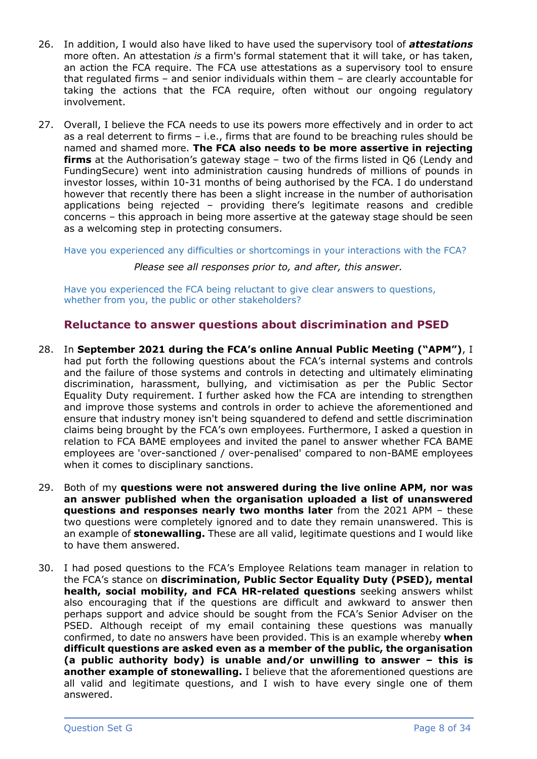- 26. In addition, I would also have liked to have used the supervisory tool of *attestations* more often. An attestation *is* a firm's formal statement that it will take, or has taken, an action the FCA require. The FCA use attestations as a supervisory tool to ensure that regulated firms – and senior individuals within them – are clearly accountable for taking the actions that the FCA require, often without our ongoing regulatory involvement.
- 27. Overall, I believe the FCA needs to use its powers more effectively and in order to act as a real deterrent to firms – i.e., firms that are found to be breaching rules should be named and shamed more. **The FCA also needs to be more assertive in rejecting firms** at the Authorisation's gateway stage – two of the firms listed in Q6 (Lendy and FundingSecure) went into administration causing hundreds of millions of pounds in investor losses, within 10-31 months of being authorised by the FCA. I do understand however that recently there has been a slight increase in the number of authorisation applications being rejected – providing there's legitimate reasons and credible concerns – this approach in being more assertive at the gateway stage should be seen as a welcoming step in protecting consumers.

Have you experienced any difficulties or shortcomings in your interactions with the FCA?

*Please see all responses prior to, and after, this answer.*

Have you experienced the FCA being reluctant to give clear answers to questions, whether from you, the public or other stakeholders?

## **Reluctance to answer questions about discrimination and PSED**

- 28. In **September 2021 during the FCA's online Annual Public Meeting ("APM")**, I had put forth the following questions about the FCA's internal systems and controls and the failure of those systems and controls in detecting and ultimately eliminating discrimination, harassment, bullying, and victimisation as per the Public Sector Equality Duty requirement. I further asked how the FCA are intending to strengthen and improve those systems and controls in order to achieve the aforementioned and ensure that industry money isn't being squandered to defend and settle discrimination claims being brought by the FCA's own employees. Furthermore, I asked a question in relation to FCA BAME employees and invited the panel to answer whether FCA BAME employees are 'over-sanctioned / over-penalised' compared to non-BAME employees when it comes to disciplinary sanctions.
- 29. Both of my **questions were not answered during the live online APM, nor was an answer published when the organisation uploaded a list of unanswered questions and responses nearly two months later** from the 2021 APM – these two questions were completely ignored and to date they remain unanswered. This is an example of **stonewalling.** These are all valid, legitimate questions and I would like to have them answered.
- 30. I had posed questions to the FCA's Employee Relations team manager in relation to the FCA's stance on **discrimination, Public Sector Equality Duty (PSED), mental health, social mobility, and FCA HR-related questions** seeking answers whilst also encouraging that if the questions are difficult and awkward to answer then perhaps support and advice should be sought from the FCA's Senior Adviser on the PSED. Although receipt of my email containing these questions was manually confirmed, to date no answers have been provided. This is an example whereby **when difficult questions are asked even as a member of the public, the organisation (a public authority body) is unable and/or unwilling to answer – this is another example of stonewalling.** I believe that the aforementioned questions are all valid and legitimate questions, and I wish to have every single one of them answered.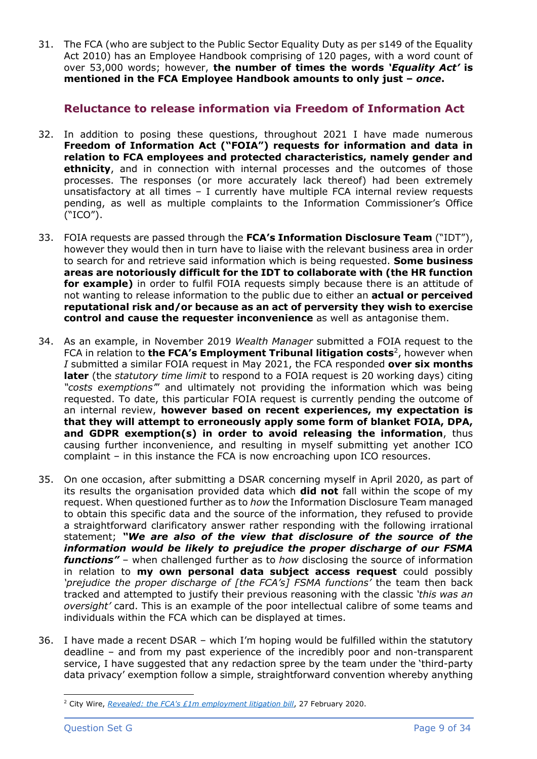31. The FCA (who are subject to the Public Sector Equality Duty as per s149 of the Equality Act 2010) has an Employee Handbook comprising of 120 pages, with a word count of over 53,000 words; however, **the number of times the words** *'Equality Act'* **is mentioned in the FCA Employee Handbook amounts to only just –** *once***.**

## **Reluctance to release information via Freedom of Information Act**

- 32. In addition to posing these questions, throughout 2021 I have made numerous **Freedom of Information Act ("FOIA") requests for information and data in relation to FCA employees and protected characteristics, namely gender and ethnicity**, and in connection with internal processes and the outcomes of those processes. The responses (or more accurately lack thereof) had been extremely unsatisfactory at all times – I currently have multiple FCA internal review requests pending, as well as multiple complaints to the Information Commissioner's Office ("ICO").
- 33. FOIA requests are passed through the **FCA's Information Disclosure Team** ("IDT"), however they would then in turn have to liaise with the relevant business area in order to search for and retrieve said information which is being requested. **Some business areas are notoriously difficult for the IDT to collaborate with (the HR function for example)** in order to fulfil FOIA requests simply because there is an attitude of not wanting to release information to the public due to either an **actual or perceived reputational risk and/or because as an act of perversity they wish to exercise control and cause the requester inconvenience** as well as antagonise them.
- 34. As an example, in November 2019 *Wealth Manager* submitted a FOIA request to the FCA in relation to **the FCA's Employment Tribunal litigation costs**<sup>2</sup>, however when *I* submitted a similar FOIA request in May 2021, the FCA responded **over six months later** (the *statutory time limit* to respond to a FOIA request is 20 working days) citing *"costs exemptions'*" and ultimately not providing the information which was being requested. To date, this particular FOIA request is currently pending the outcome of an internal review, **however based on recent experiences, my expectation is that they will attempt to erroneously apply some form of blanket FOIA, DPA, and GDPR exemption(s) in order to avoid releasing the information**, thus causing further inconvenience, and resulting in myself submitting yet another ICO complaint – in this instance the FCA is now encroaching upon ICO resources.
- 35. On one occasion, after submitting a DSAR concerning myself in April 2020, as part of its results the organisation provided data which **did not** fall within the scope of my request. When questioned further as to *how* the Information Disclosure Team managed to obtain this specific data and the source of the information, they refused to provide a straightforward clarificatory answer rather responding with the following irrational statement; *"We are also of the view that disclosure of the source of the information would be likely to prejudice the proper discharge of our FSMA functions"* – when challenged further as to *how* disclosing the source of information in relation to **my own personal data subject access request** could possibly *'prejudice the proper discharge of [the FCA's] FSMA functions'* the team then back tracked and attempted to justify their previous reasoning with the classic *'this was an oversight'* card. This is an example of the poor intellectual calibre of some teams and individuals within the FCA which can be displayed at times.
- 36. I have made a recent DSAR which I'm hoping would be fulfilled within the statutory deadline – and from my past experience of the incredibly poor and non-transparent service, I have suggested that any redaction spree by the team under the 'third-party data privacy' exemption follow a simple, straightforward convention whereby anything

<sup>2</sup> City Wire, *[Revealed: the FCA's £1m employment litigation bill](https://citywire.com/new-model-adviser/news/revealed-the-fcas-1m-employment-litigation-bill/a1328851)*, 27 February 2020.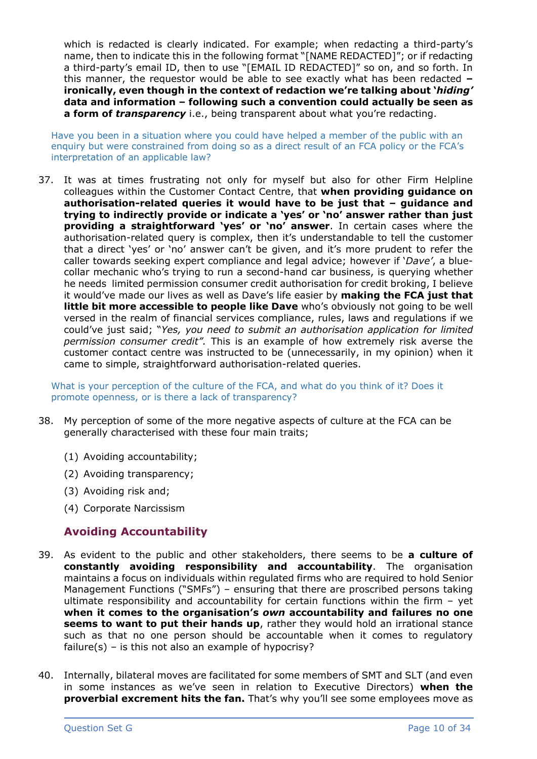which is redacted is clearly indicated. For example; when redacting a third-party's name, then to indicate this in the following format "[NAME REDACTED]"; or if redacting a third-party's email ID, then to use "[EMAIL ID REDACTED]" so on, and so forth. In this manner, the requestor would be able to see exactly what has been redacted **– ironically, even though in the context of redaction we're talking about '***hiding'* **data and information – following such a convention could actually be seen as a form of** *transparency* i.e., being transparent about what you're redacting.

Have you been in a situation where you could have helped a member of the public with an enquiry but were constrained from doing so as a direct result of an FCA policy or the FCA's interpretation of an applicable law?

37. It was at times frustrating not only for myself but also for other Firm Helpline colleagues within the Customer Contact Centre, that **when providing guidance on authorisation-related queries it would have to be just that – guidance and trying to indirectly provide or indicate a 'yes' or 'no' answer rather than just providing a straightforward 'yes' or 'no' answer**. In certain cases where the authorisation-related query is complex, then it's understandable to tell the customer that a direct 'yes' or 'no' answer can't be given, and it's more prudent to refer the caller towards seeking expert compliance and legal advice; however if '*Dave'*, a bluecollar mechanic who's trying to run a second-hand car business, is querying whether he needs limited permission consumer credit authorisation for credit broking, I believe it would've made our lives as well as Dave's life easier by **making the FCA just that little bit more accessible to people like Dave** who's obviously not going to be well versed in the realm of financial services compliance, rules, laws and regulations if we could've just said; "*Yes, you need to submit an authorisation application for limited permission consumer credit".* This is an example of how extremely risk averse the customer contact centre was instructed to be (unnecessarily, in my opinion) when it came to simple, straightforward authorisation-related queries.

What is your perception of the culture of the FCA, and what do you think of it? Does it promote openness, or is there a lack of transparency?

- 38. My perception of some of the more negative aspects of culture at the FCA can be generally characterised with these four main traits;
	- (1) Avoiding accountability;
	- (2) Avoiding transparency;
	- (3) Avoiding risk and;
	- (4) Corporate Narcissism

### **Avoiding Accountability**

- 39. As evident to the public and other stakeholders, there seems to be **a culture of constantly avoiding responsibility and accountability**. The organisation maintains a focus on individuals within regulated firms who are required to hold Senior Management Functions ("SMFs") – ensuring that there are proscribed persons taking ultimate responsibility and accountability for certain functions within the firm – yet **when it comes to the organisation's** *own* **accountability and failures no one**  seems to want to put their hands up, rather they would hold an irrational stance such as that no one person should be accountable when it comes to regulatory failure(s) – is this not also an example of hypocrisy?
- 40. Internally, bilateral moves are facilitated for some members of SMT and SLT (and even in some instances as we've seen in relation to Executive Directors) **when the proverbial excrement hits the fan.** That's why you'll see some employees move as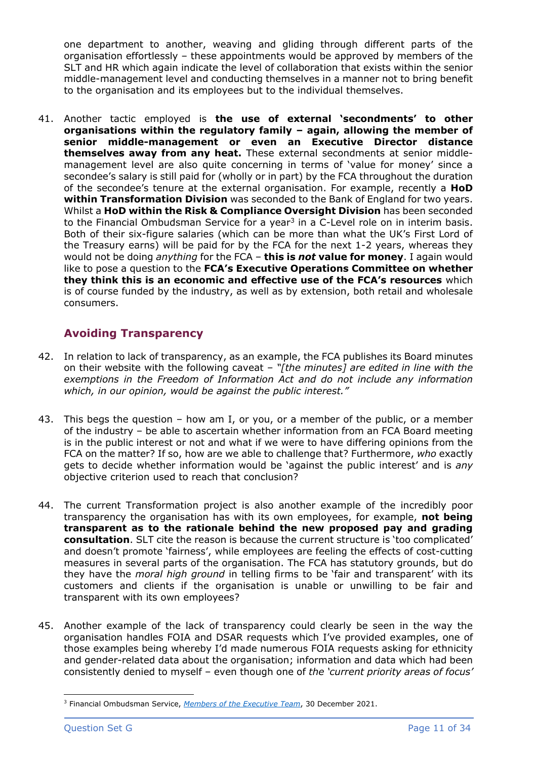one department to another, weaving and gliding through different parts of the organisation effortlessly – these appointments would be approved by members of the SLT and HR which again indicate the level of collaboration that exists within the senior middle-management level and conducting themselves in a manner not to bring benefit to the organisation and its employees but to the individual themselves.

41. Another tactic employed is **the use of external 'secondments' to other organisations within the regulatory family – again, allowing the member of senior middle-management or even an Executive Director distance themselves away from any heat.** These external secondments at senior middlemanagement level are also quite concerning in terms of 'value for money' since a secondee's salary is still paid for (wholly or in part) by the FCA throughout the duration of the secondee's tenure at the external organisation. For example, recently a **HoD within Transformation Division** was seconded to the Bank of England for two years. Whilst a **HoD within the Risk & Compliance Oversight Division** has been seconded to the Financial Ombudsman Service for a year<sup>3</sup> in a C-Level role on in interim basis. Both of their six-figure salaries (which can be more than what the UK's First Lord of the Treasury earns) will be paid for by the FCA for the next 1-2 years, whereas they would not be doing *anything* for the FCA – **this is** *not* **value for money**. I again would like to pose a question to the **FCA's Executive Operations Committee on whether they think this is an economic and effective use of the FCA's resources** which is of course funded by the industry, as well as by extension, both retail and wholesale consumers.

# **Avoiding Transparency**

- 42. In relation to lack of transparency, as an example, the FCA publishes its Board minutes on their website with the following caveat – *"[the minutes] are edited in line with the exemptions in the Freedom of Information Act and do not include any information which, in our opinion, would be against the public interest."*
- 43. This begs the question how am I, or you, or a member of the public, or a member of the industry – be able to ascertain whether information from an FCA Board meeting is in the public interest or not and what if we were to have differing opinions from the FCA on the matter? If so, how are we able to challenge that? Furthermore, *who* exactly gets to decide whether information would be 'against the public interest' and is *any*  objective criterion used to reach that conclusion?
- 44. The current Transformation project is also another example of the incredibly poor transparency the organisation has with its own employees, for example, **not being transparent as to the rationale behind the new proposed pay and grading consultation**. SLT cite the reason is because the current structure is 'too complicated' and doesn't promote 'fairness', while employees are feeling the effects of cost-cutting measures in several parts of the organisation. The FCA has statutory grounds, but do they have the *moral high ground* in telling firms to be 'fair and transparent' with its customers and clients if the organisation is unable or unwilling to be fair and transparent with its own employees?
- 45. Another example of the lack of transparency could clearly be seen in the way the organisation handles FOIA and DSAR requests which I've provided examples, one of those examples being whereby I'd made numerous FOIA requests asking for ethnicity and gender-related data about the organisation; information and data which had been consistently denied to myself – even though one of *the 'current priority areas of focus'*

<sup>3</sup> Financial Ombudsman Service, *[Members of the Executive Team](https://www.financial-ombudsman.org.uk/who-we-are/staff/executive-team)*, 30 December 2021.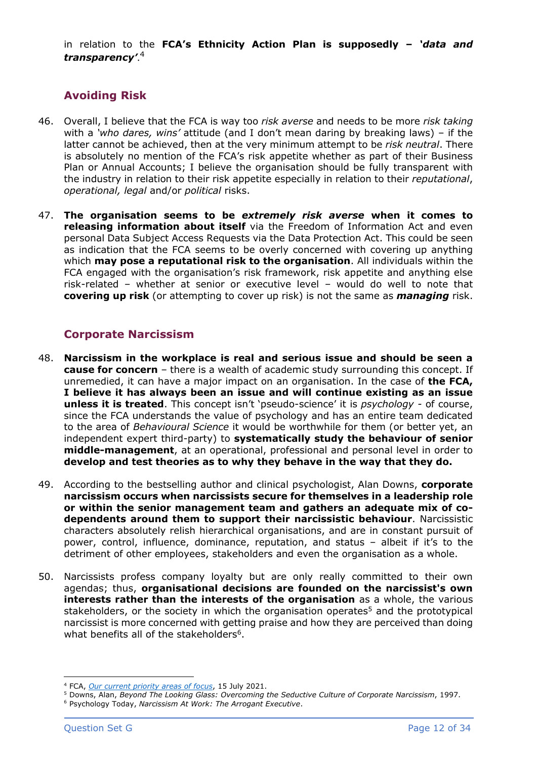in relation to the **FCA's Ethnicity Action Plan is supposedly –** *'data and transparency'*. 4

# **Avoiding Risk**

- 46. Overall, I believe that the FCA is way too *risk averse* and needs to be more *risk taking* with a *'who dares, wins'* attitude (and I don't mean daring by breaking laws) – if the latter cannot be achieved, then at the very minimum attempt to be *risk neutral*. There is absolutely no mention of the FCA's risk appetite whether as part of their Business Plan or Annual Accounts; I believe the organisation should be fully transparent with the industry in relation to their risk appetite especially in relation to their *reputational*, *operational, legal* and/or *political* risks.
- 47. **The organisation seems to be** *extremely risk averse* **when it comes to releasing information about itself** via the Freedom of Information Act and even personal Data Subject Access Requests via the Data Protection Act. This could be seen as indication that the FCA seems to be overly concerned with covering up anything which **may pose a reputational risk to the organisation**. All individuals within the FCA engaged with the organisation's risk framework, risk appetite and anything else risk-related – whether at senior or executive level – would do well to note that **covering up risk** (or attempting to cover up risk) is not the same as *managing* risk.

# **Corporate Narcissism**

- 48. **Narcissism in the workplace is real and serious issue and should be seen a cause for concern** – there is a wealth of academic study surrounding this concept. If unremedied, it can have a major impact on an organisation. In the case of **the FCA, I believe it has always been an issue and will continue existing as an issue unless it is treated**. This concept isn't 'pseudo-science' it is *psychology -* of course, since the FCA understands the value of psychology and has an entire team dedicated to the area of *Behavioural Science* it would be worthwhile for them (or better yet, an independent expert third-party) to **systematically study the behaviour of senior middle-management**, at an operational, professional and personal level in order to **develop and test theories as to why they behave in the way that they do.**
- 49. According to the bestselling author and clinical psychologist, Alan Downs, **corporate narcissism occurs when narcissists secure for themselves in a leadership role or within the senior management team and gathers an adequate mix of codependents around them to support their narcissistic behaviour**. Narcissistic characters absolutely relish hierarchical organisations, and are in constant pursuit of power, control, influence, dominance, reputation, and status – albeit if it's to the detriment of other employees, stakeholders and even the organisation as a whole.
- 50. Narcissists profess company loyalty but are only really committed to their own agendas; thus, **organisational decisions are founded on the narcissist's own interests rather than the interests of the organisation** as a whole, the various stakeholders, or the society in which the organisation operates<sup>5</sup> and the prototypical narcissist is more concerned with getting praise and how they are perceived than doing what benefits all of the stakeholders<sup>6</sup>.

<sup>4</sup> FCA, *[Our current priority areas of focus](https://www.fca.org.uk/about/diversity-and-inclusion-why-it-matters-us/our-current-priority-areas-focus)*, 15 July 2021.

<sup>5</sup> Downs, Alan, *Beyond The Looking Glass: Overcoming the Seductive Culture of Corporate Narcissism*, 1997.

<sup>6</sup> Psychology Today, *Narcissism At Work: The Arrogant Executive*.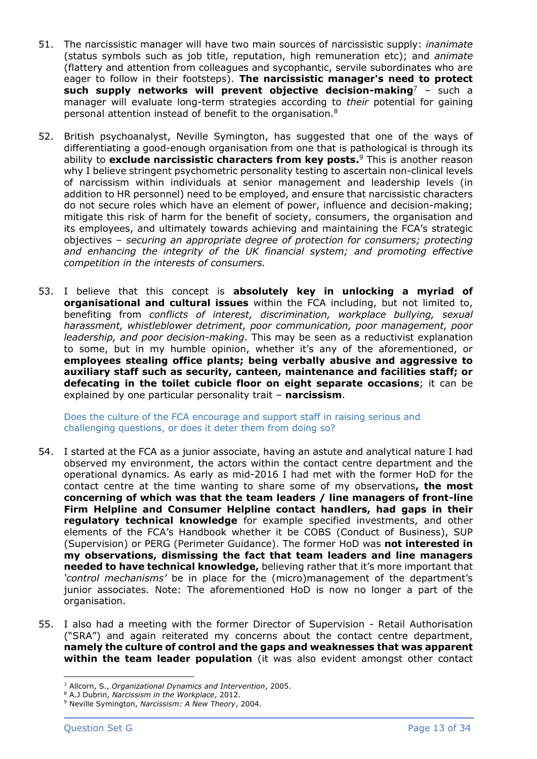- 51. The narcissistic manager will have two main sources of narcissistic supply: *inanimate*  (status symbols such as job title, reputation, high remuneration etc); and *animate* (flattery and attention from colleagues and sycophantic, servile subordinates who are eager to follow in their footsteps). **The narcissistic manager's need to protect such supply networks will prevent objective decision-making**<sup>7</sup> – such a manager will evaluate long-term strategies according to *their* potential for gaining personal attention instead of benefit to the organisation.<sup>8</sup>
- 52. British psychoanalyst, Neville Symington, has suggested that one of the ways of differentiating a good-enough organisation from one that is pathological is through its ability to **exclude narcissistic characters from key posts.** <sup>9</sup> This is another reason why I believe stringent psychometric personality testing to ascertain non-clinical levels of narcissism within individuals at senior management and leadership levels (in addition to HR personnel) need to be employed, and ensure that narcissistic characters do not secure roles which have an element of power, influence and decision-making; mitigate this risk of harm for the benefit of society, consumers, the organisation and its employees, and ultimately towards achieving and maintaining the FCA's strategic objectives – *securing an appropriate degree of protection for consumers; protecting and enhancing the integrity of the UK financial system; and promoting effective competition in the interests of consumers.*
- 53. I believe that this concept is **absolutely key in unlocking a myriad of organisational and cultural issues** within the FCA including, but not limited to, benefiting from *conflicts of interest, discrimination, workplace bullying, sexual harassment, whistleblower detriment, poor communication, poor management, poor leadership, and poor decision-making*. This may be seen as a reductivist explanation to some, but in my humble opinion, whether it's any of the aforementioned, or **employees stealing office plants; being verbally abusive and aggressive to auxiliary staff such as security, canteen, maintenance and facilities staff; or defecating in the toilet cubicle floor on eight separate occasions**; it can be explained by one particular personality trait – **narcissism**.

Does the culture of the FCA encourage and support staff in raising serious and challenging questions, or does it deter them from doing so?

- 54. I started at the FCA as a junior associate, having an astute and analytical nature I had observed my environment, the actors within the contact centre department and the operational dynamics. As early as mid-2016 I had met with the former HoD for the contact centre at the time wanting to share some of my observations**, the most concerning of which was that the team leaders / line managers of front-line Firm Helpline and Consumer Helpline contact handlers, had gaps in their regulatory technical knowledge** for example specified investments, and other elements of the FCA's Handbook whether it be COBS (Conduct of Business), SUP (Supervision) or PERG (Perimeter Guidance). The former HoD was **not interested in my observations, dismissing the fact that team leaders and line managers needed to have technical knowledge,** believing rather that it's more important that *'control mechanisms'* be in place for the (micro)management of the department's junior associates. Note: The aforementioned HoD is now no longer a part of the organisation.
- 55. I also had a meeting with the former Director of Supervision Retail Authorisation ("SRA") and again reiterated my concerns about the contact centre department, **namely the culture of control and the gaps and weaknesses that was apparent within the team leader population** (it was also evident amongst other contact

<sup>7</sup> Allcorn, S., *Organizational Dynamics and Intervention*, 2005.

<sup>8</sup> A.J Dubrin, *Narcissism in the Workplace*, 2012.

<sup>9</sup> Neville Symington, *Narcissism: A New Theory*, 2004.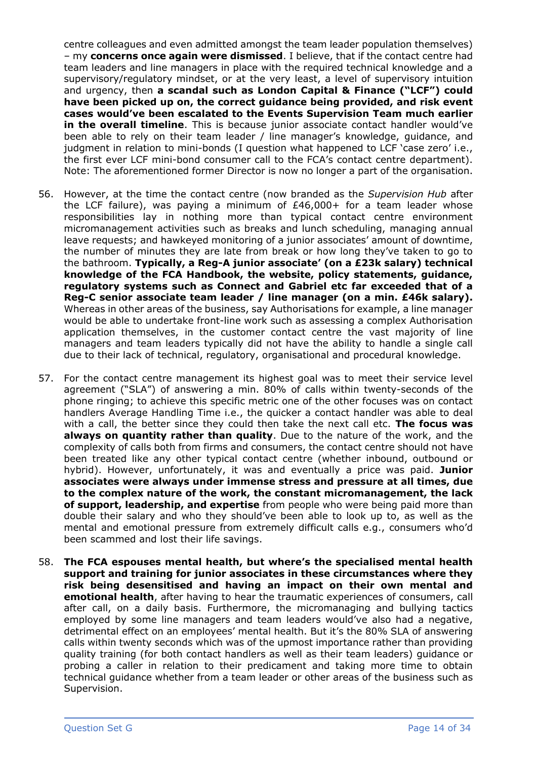centre colleagues and even admitted amongst the team leader population themselves) – my **concerns once again were dismissed**. I believe, that if the contact centre had team leaders and line managers in place with the required technical knowledge and a supervisory/regulatory mindset, or at the very least, a level of supervisory intuition and urgency, then **a scandal such as London Capital & Finance ("LCF") could have been picked up on, the correct guidance being provided, and risk event cases would've been escalated to the Events Supervision Team much earlier in the overall timeline**. This is because junior associate contact handler would've been able to rely on their team leader / line manager's knowledge, guidance, and judgment in relation to mini-bonds (I question what happened to LCF 'case zero' i.e., the first ever LCF mini-bond consumer call to the FCA's contact centre department). Note: The aforementioned former Director is now no longer a part of the organisation.

- 56. However, at the time the contact centre (now branded as the *Supervision Hub* after the LCF failure), was paying a minimum of  $£46,000+$  for a team leader whose responsibilities lay in nothing more than typical contact centre environment micromanagement activities such as breaks and lunch scheduling, managing annual leave requests; and hawkeyed monitoring of a junior associates' amount of downtime, the number of minutes they are late from break or how long they've taken to go to the bathroom. **Typically, a Reg-A junior associate' (on a £23k salary) technical knowledge of the FCA Handbook, the website, policy statements, guidance, regulatory systems such as Connect and Gabriel etc far exceeded that of a Reg-C senior associate team leader / line manager (on a min. £46k salary).**  Whereas in other areas of the business, say Authorisations for example, a line manager would be able to undertake front-line work such as assessing a complex Authorisation application themselves, in the customer contact centre the vast majority of line managers and team leaders typically did not have the ability to handle a single call due to their lack of technical, regulatory, organisational and procedural knowledge.
- 57. For the contact centre management its highest goal was to meet their service level agreement ("SLA") of answering a min. 80% of calls within twenty-seconds of the phone ringing; to achieve this specific metric one of the other focuses was on contact handlers Average Handling Time i.e., the quicker a contact handler was able to deal with a call, the better since they could then take the next call etc. **The focus was always on quantity rather than quality**. Due to the nature of the work, and the complexity of calls both from firms and consumers, the contact centre should not have been treated like any other typical contact centre (whether inbound, outbound or hybrid). However, unfortunately, it was and eventually a price was paid. **Junior associates were always under immense stress and pressure at all times, due to the complex nature of the work, the constant micromanagement, the lack of support, leadership, and expertise** from people who were being paid more than double their salary and who they should've been able to look up to, as well as the mental and emotional pressure from extremely difficult calls e.g., consumers who'd been scammed and lost their life savings.
- 58. **The FCA espouses mental health, but where's the specialised mental health support and training for junior associates in these circumstances where they risk being desensitised and having an impact on their own mental and emotional health**, after having to hear the traumatic experiences of consumers, call after call, on a daily basis. Furthermore, the micromanaging and bullying tactics employed by some line managers and team leaders would've also had a negative, detrimental effect on an employees' mental health. But it's the 80% SLA of answering calls within twenty seconds which was of the upmost importance rather than providing quality training (for both contact handlers as well as their team leaders) guidance or probing a caller in relation to their predicament and taking more time to obtain technical guidance whether from a team leader or other areas of the business such as Supervision.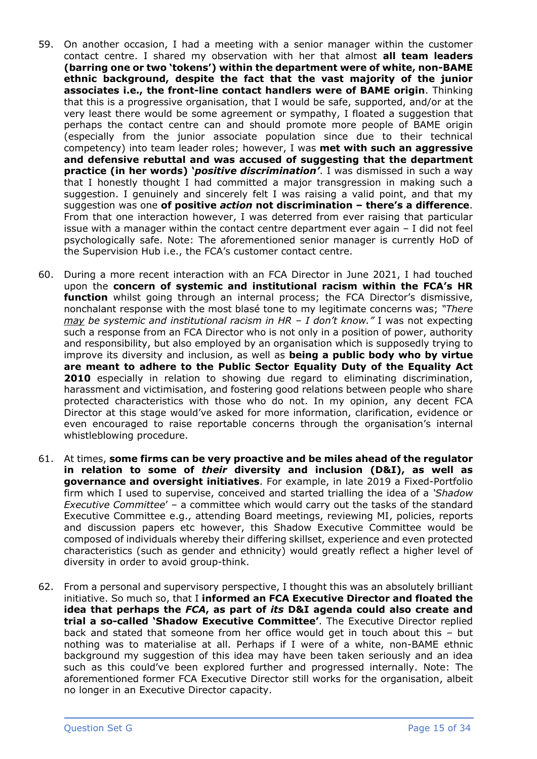- 59. On another occasion, I had a meeting with a senior manager within the customer contact centre. I shared my observation with her that almost **all team leaders (barring one or two 'tokens') within the department were of white, non-BAME ethnic background, despite the fact that the vast majority of the junior associates i.e., the front-line contact handlers were of BAME origin**. Thinking that this is a progressive organisation, that I would be safe, supported, and/or at the very least there would be some agreement or sympathy, I floated a suggestion that perhaps the contact centre can and should promote more people of BAME origin (especially from the junior associate population since due to their technical competency) into team leader roles; however, I was **met with such an aggressive and defensive rebuttal and was accused of suggesting that the department practice (in her words) '***positive discrimination'*. I was dismissed in such a way that I honestly thought I had committed a major transgression in making such a suggestion. I genuinely and sincerely felt I was raising a valid point, and that my suggestion was one **of positive** *action* **not discrimination – there's a difference**. From that one interaction however, I was deterred from ever raising that particular issue with a manager within the contact centre department ever again – I did not feel psychologically safe. Note: The aforementioned senior manager is currently HoD of the Supervision Hub i.e., the FCA's customer contact centre.
- 60. During a more recent interaction with an FCA Director in June 2021, I had touched upon the **concern of systemic and institutional racism within the FCA's HR function** whilst going through an internal process; the FCA Director's dismissive, nonchalant response with the most blasé tone to my legitimate concerns was; *"There may be systemic and institutional racism in HR – I don't know."* I was not expecting such a response from an FCA Director who is not only in a position of power, authority and responsibility, but also employed by an organisation which is supposedly trying to improve its diversity and inclusion, as well as **being a public body who by virtue are meant to adhere to the Public Sector Equality Duty of the Equality Act 2010** especially in relation to showing due regard to eliminating discrimination, harassment and victimisation, and fostering good relations between people who share protected characteristics with those who do not. In my opinion, any decent FCA Director at this stage would've asked for more information, clarification, evidence or even encouraged to raise reportable concerns through the organisation's internal whistleblowing procedure.
- 61. At times, **some firms can be very proactive and be miles ahead of the regulator in relation to some of** *their* **diversity and inclusion (D&I), as well as governance and oversight initiatives**. For example, in late 2019 a Fixed-Portfolio firm which I used to supervise, conceived and started trialling the idea of a *'Shadow Executive Committee*' – a committee which would carry out the tasks of the standard Executive Committee e.g., attending Board meetings, reviewing MI, policies, reports and discussion papers etc however, this Shadow Executive Committee would be composed of individuals whereby their differing skillset, experience and even protected characteristics (such as gender and ethnicity) would greatly reflect a higher level of diversity in order to avoid group-think.
- 62. From a personal and supervisory perspective, I thought this was an absolutely brilliant initiative. So much so, that I **informed an FCA Executive Director and floated the idea that perhaps the** *FCA***, as part of** *its* **D&I agenda could also create and trial a so-called 'Shadow Executive Committee'**. The Executive Director replied back and stated that someone from her office would get in touch about this – but nothing was to materialise at all. Perhaps if I were of a white, non-BAME ethnic background my suggestion of this idea may have been taken seriously and an idea such as this could've been explored further and progressed internally. Note: The aforementioned former FCA Executive Director still works for the organisation, albeit no longer in an Executive Director capacity.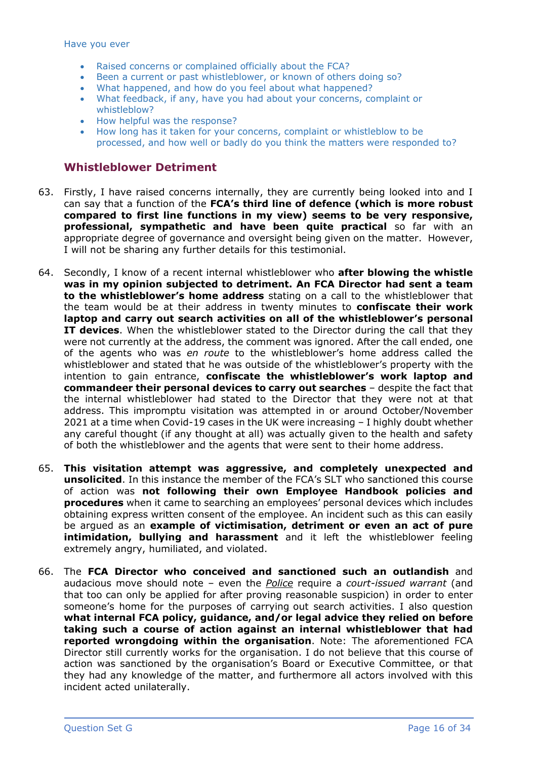Have you ever

- Raised concerns or complained officially about the FCA?
- Been a current or past whistleblower, or known of others doing so?
- What happened, and how do you feel about what happened?
- What feedback, if any, have you had about your concerns, complaint or whistleblow?
- How helpful was the response?
- How long has it taken for your concerns, complaint or whistleblow to be processed, and how well or badly do you think the matters were responded to?

### **Whistleblower Detriment**

- 63. Firstly, I have raised concerns internally, they are currently being looked into and I can say that a function of the **FCA's third line of defence (which is more robust compared to first line functions in my view) seems to be very responsive, professional, sympathetic and have been quite practical** so far with an appropriate degree of governance and oversight being given on the matter. However, I will not be sharing any further details for this testimonial.
- 64. Secondly, I know of a recent internal whistleblower who **after blowing the whistle was in my opinion subjected to detriment. An FCA Director had sent a team to the whistleblower's home address** stating on a call to the whistleblower that the team would be at their address in twenty minutes to **confiscate their work laptop and carry out search activities on all of the whistleblower's personal IT devices**. When the whistleblower stated to the Director during the call that they were not currently at the address, the comment was ignored. After the call ended, one of the agents who was *en route* to the whistleblower's home address called the whistleblower and stated that he was outside of the whistleblower's property with the intention to gain entrance, **confiscate the whistleblower's work laptop and commandeer their personal devices to carry out searches** – despite the fact that the internal whistleblower had stated to the Director that they were not at that address. This impromptu visitation was attempted in or around October/November 2021 at a time when Covid-19 cases in the UK were increasing – I highly doubt whether any careful thought (if any thought at all) was actually given to the health and safety of both the whistleblower and the agents that were sent to their home address.
- 65. **This visitation attempt was aggressive, and completely unexpected and unsolicited**. In this instance the member of the FCA's SLT who sanctioned this course of action was **not following their own Employee Handbook policies and procedures** when it came to searching an employees' personal devices which includes obtaining express written consent of the employee. An incident such as this can easily be argued as an **example of victimisation, detriment or even an act of pure intimidation, bullying and harassment** and it left the whistleblower feeling extremely angry, humiliated, and violated.
- 66. The **FCA Director who conceived and sanctioned such an outlandish** and audacious move should note – even the *Police* require a *court-issued warrant* (and that too can only be applied for after proving reasonable suspicion) in order to enter someone's home for the purposes of carrying out search activities. I also question **what internal FCA policy, guidance, and/or legal advice they relied on before taking such a course of action against an internal whistleblower that had reported wrongdoing within the organisation**. Note: The aforementioned FCA Director still currently works for the organisation. I do not believe that this course of action was sanctioned by the organisation's Board or Executive Committee, or that they had any knowledge of the matter, and furthermore all actors involved with this incident acted unilaterally.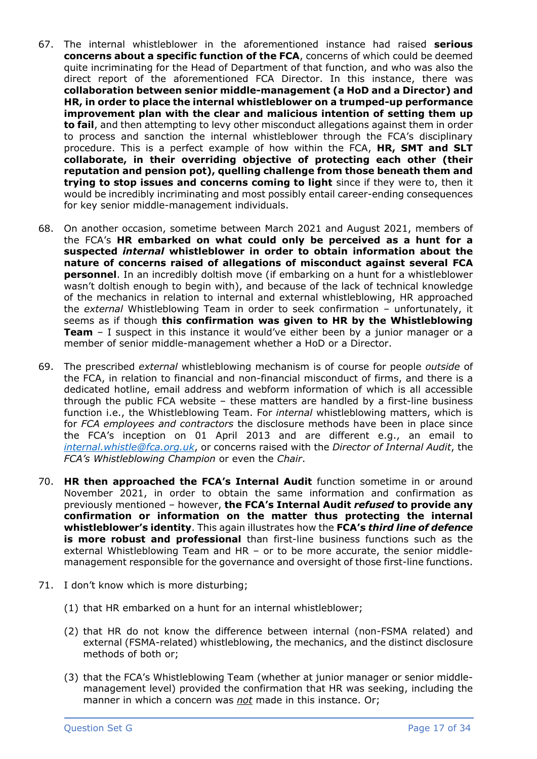- 67. The internal whistleblower in the aforementioned instance had raised **serious concerns about a specific function of the FCA**, concerns of which could be deemed quite incriminating for the Head of Department of that function, and who was also the direct report of the aforementioned FCA Director. In this instance, there was **collaboration between senior middle-management (a HoD and a Director) and HR, in order to place the internal whistleblower on a trumped-up performance improvement plan with the clear and malicious intention of setting them up to fail**, and then attempting to levy other misconduct allegations against them in order to process and sanction the internal whistleblower through the FCA's disciplinary procedure. This is a perfect example of how within the FCA, **HR, SMT and SLT collaborate, in their overriding objective of protecting each other (their reputation and pension pot), quelling challenge from those beneath them and trying to stop issues and concerns coming to light** since if they were to, then it would be incredibly incriminating and most possibly entail career-ending consequences for key senior middle-management individuals.
- 68. On another occasion, sometime between March 2021 and August 2021, members of the FCA's **HR embarked on what could only be perceived as a hunt for a suspected** *internal* **whistleblower in order to obtain information about the nature of concerns raised of allegations of misconduct against several FCA personnel**. In an incredibly doltish move (if embarking on a hunt for a whistleblower wasn't doltish enough to begin with), and because of the lack of technical knowledge of the mechanics in relation to internal and external whistleblowing, HR approached the *external* Whistleblowing Team in order to seek confirmation – unfortunately, it seems as if though **this confirmation was given to HR by the Whistleblowing Team** – I suspect in this instance it would've either been by a junior manager or a member of senior middle-management whether a HoD or a Director.
- 69. The prescribed *external* whistleblowing mechanism is of course for people *outside* of the FCA, in relation to financial and non-financial misconduct of firms, and there is a dedicated hotline, email address and webform information of which is all accessible through the public FCA website – these matters are handled by a first-line business function i.e., the Whistleblowing Team. For *internal* whistleblowing matters, which is for *FCA employees and contractors* the disclosure methods have been in place since the FCA's inception on 01 April 2013 and are different e.g., an email to *[internal.whistle@fca.org.uk](mailto:internal.whistle@fca.org.uk)*, or concerns raised with the *Director of Internal Audit*, the *FCA's Whistleblowing Champion* or even the *Chair*.
- 70. **HR then approached the FCA's Internal Audit** function sometime in or around November 2021, in order to obtain the same information and confirmation as previously mentioned – however, **the FCA's Internal Audit** *refused* **to provide any confirmation or information on the matter thus protecting the internal whistleblower's identity**. This again illustrates how the **FCA's** *third line of defence* **is more robust and professional** than first-line business functions such as the external Whistleblowing Team and HR – or to be more accurate, the senior middlemanagement responsible for the governance and oversight of those first-line functions.
- 71. I don't know which is more disturbing;
	- (1) that HR embarked on a hunt for an internal whistleblower;
	- (2) that HR do not know the difference between internal (non-FSMA related) and external (FSMA-related) whistleblowing, the mechanics, and the distinct disclosure methods of both or;
	- (3) that the FCA's Whistleblowing Team (whether at junior manager or senior middlemanagement level) provided the confirmation that HR was seeking, including the manner in which a concern was *not* made in this instance. Or;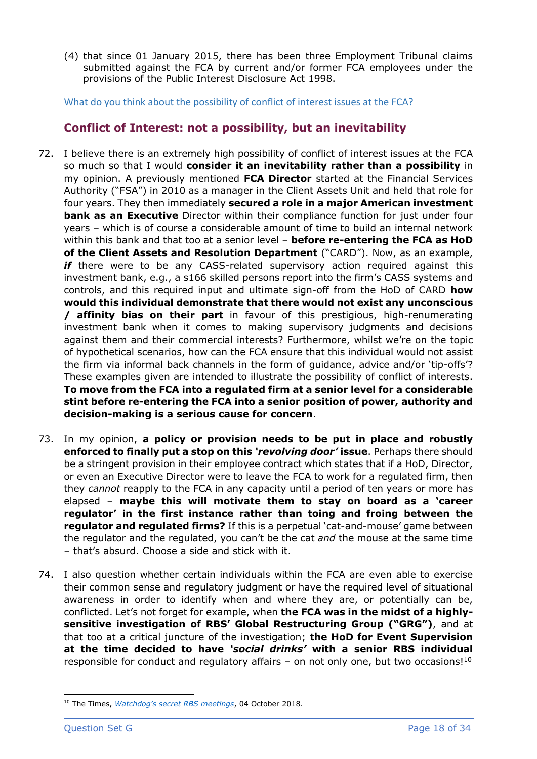(4) that since 01 January 2015, there has been three Employment Tribunal claims submitted against the FCA by current and/or former FCA employees under the provisions of the Public Interest Disclosure Act 1998.

What do you think about the possibility of conflict of interest issues at the FCA?

# **Conflict of Interest: not a possibility, but an inevitability**

- 72. I believe there is an extremely high possibility of conflict of interest issues at the FCA so much so that I would **consider it an inevitability rather than a possibility** in my opinion. A previously mentioned **FCA Director** started at the Financial Services Authority ("FSA") in 2010 as a manager in the Client Assets Unit and held that role for four years. They then immediately **secured a role in a major American investment bank as an Executive** Director within their compliance function for just under four years – which is of course a considerable amount of time to build an internal network within this bank and that too at a senior level – **before re-entering the FCA as HoD of the Client Assets and Resolution Department** ("CARD"). Now, as an example, *if* there were to be any CASS-related supervisory action required against this investment bank, e.g., a s166 skilled persons report into the firm's CASS systems and controls, and this required input and ultimate sign-off from the HoD of CARD **how would this individual demonstrate that there would not exist any unconscious / affinity bias on their part** in favour of this prestigious, high-renumerating investment bank when it comes to making supervisory judgments and decisions against them and their commercial interests? Furthermore, whilst we're on the topic of hypothetical scenarios, how can the FCA ensure that this individual would not assist the firm via informal back channels in the form of guidance, advice and/or 'tip-offs'? These examples given are intended to illustrate the possibility of conflict of interests. **To move from the FCA into a regulated firm at a senior level for a considerable stint before re-entering the FCA into a senior position of power, authority and decision-making is a serious cause for concern**.
- 73. In my opinion, **a policy or provision needs to be put in place and robustly enforced to finally put a stop on this** *'revolving door'* **issue**. Perhaps there should be a stringent provision in their employee contract which states that if a HoD, Director, or even an Executive Director were to leave the FCA to work for a regulated firm, then they *cannot* reapply to the FCA in any capacity until a period of ten years or more has elapsed – **maybe this will motivate them to stay on board as a 'career regulator' in the first instance rather than toing and froing between the regulator and regulated firms?** If this is a perpetual 'cat-and-mouse' game between the regulator and the regulated, you can't be the cat *and* the mouse at the same time – that's absurd. Choose a side and stick with it.
- 74. I also question whether certain individuals within the FCA are even able to exercise their common sense and regulatory judgment or have the required level of situational awareness in order to identify when and where they are, or potentially can be, conflicted. Let's not forget for example, when **the FCA was in the midst of a highlysensitive investigation of RBS' Global Restructuring Group ("GRG")**, and at that too at a critical juncture of the investigation; **the HoD for Event Supervision at the time decided to have** *'social drinks'* **with a senior RBS individual** responsible for conduct and regulatory affairs  $-$  on not only one, but two occasions!<sup>10</sup>

<sup>10</sup> The Times, *[Watchdog's secret RBS meetings](https://www.thetimes.co.uk/article/rbs-unit-chiefs-held-secret-meetings-fntkl8b57)*, 04 October 2018.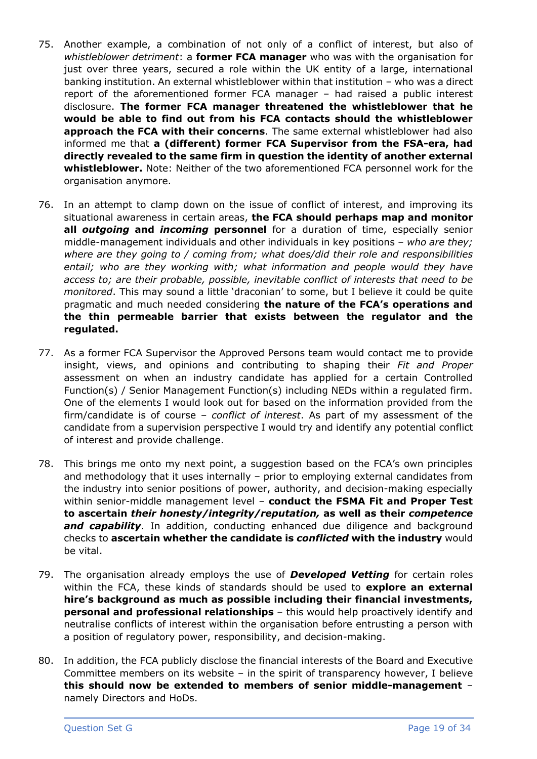- 75. Another example, a combination of not only of a conflict of interest, but also of *whistleblower detriment*: a **former FCA manager** who was with the organisation for just over three years, secured a role within the UK entity of a large, international banking institution. An external whistleblower within that institution – who was a direct report of the aforementioned former FCA manager – had raised a public interest disclosure. **The former FCA manager threatened the whistleblower that he would be able to find out from his FCA contacts should the whistleblower approach the FCA with their concerns**. The same external whistleblower had also informed me that **a (different) former FCA Supervisor from the FSA-era, had directly revealed to the same firm in question the identity of another external whistleblower.** Note: Neither of the two aforementioned FCA personnel work for the organisation anymore.
- 76. In an attempt to clamp down on the issue of conflict of interest, and improving its situational awareness in certain areas, **the FCA should perhaps map and monitor all** *outgoing* **and** *incoming* **personnel** for a duration of time, especially senior middle-management individuals and other individuals in key positions – *who are they; where are they going to / coming from; what does/did their role and responsibilities*  entail; who are they working with; what information and people would they have *access to; are their probable, possible, inevitable conflict of interests that need to be monitored*. This may sound a little 'draconian' to some, but I believe it could be quite pragmatic and much needed considering **the nature of the FCA's operations and the thin permeable barrier that exists between the regulator and the regulated.**
- 77. As a former FCA Supervisor the Approved Persons team would contact me to provide insight, views, and opinions and contributing to shaping their *Fit and Proper*  assessment on when an industry candidate has applied for a certain Controlled Function(s) / Senior Management Function(s) including NEDs within a regulated firm. One of the elements I would look out for based on the information provided from the firm/candidate is of course – *conflict of interest*. As part of my assessment of the candidate from a supervision perspective I would try and identify any potential conflict of interest and provide challenge.
- 78. This brings me onto my next point, a suggestion based on the FCA's own principles and methodology that it uses internally – prior to employing external candidates from the industry into senior positions of power, authority, and decision-making especially within senior-middle management level – **conduct the FSMA Fit and Proper Test to ascertain** *their honesty/integrity/reputation,* **as well as their** *competence*  **and capability**. In addition, conducting enhanced due diligence and background checks to **ascertain whether the candidate is** *conflicted* **with the industry** would be vital.
- 79. The organisation already employs the use of *Developed Vetting* for certain roles within the FCA, these kinds of standards should be used to **explore an external hire's background as much as possible including their financial investments, personal and professional relationships** – this would help proactively identify and neutralise conflicts of interest within the organisation before entrusting a person with a position of regulatory power, responsibility, and decision-making.
- 80. In addition, the FCA publicly disclose the financial interests of the Board and Executive Committee members on its website – in the spirit of transparency however, I believe **this should now be extended to members of senior middle-management** – namely Directors and HoDs.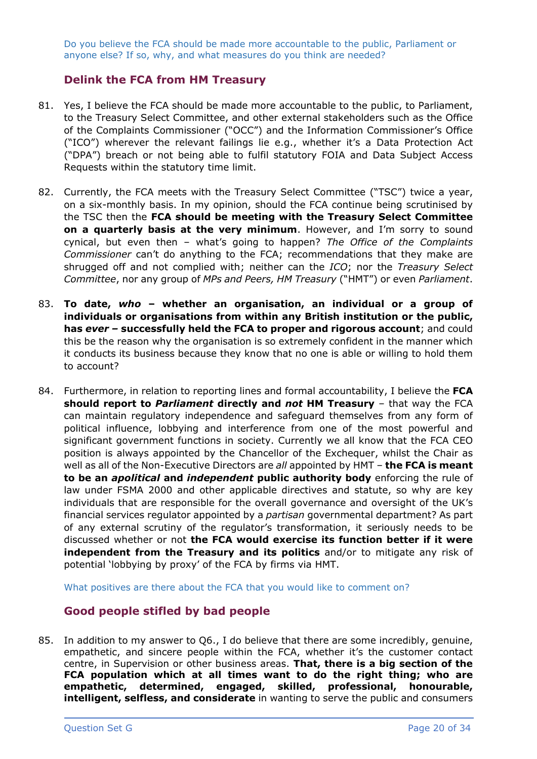Do you believe the FCA should be made more accountable to the public, Parliament or anyone else? If so, why, and what measures do you think are needed?

## **Delink the FCA from HM Treasury**

- 81. Yes, I believe the FCA should be made more accountable to the public, to Parliament, to the Treasury Select Committee, and other external stakeholders such as the Office of the Complaints Commissioner ("OCC") and the Information Commissioner's Office ("ICO") wherever the relevant failings lie e.g., whether it's a Data Protection Act ("DPA") breach or not being able to fulfil statutory FOIA and Data Subject Access Requests within the statutory time limit.
- 82. Currently, the FCA meets with the Treasury Select Committee ("TSC") twice a year, on a six-monthly basis. In my opinion, should the FCA continue being scrutinised by the TSC then the **FCA should be meeting with the Treasury Select Committee on a quarterly basis at the very minimum**. However, and I'm sorry to sound cynical, but even then – what's going to happen? *The Office of the Complaints Commissioner* can't do anything to the FCA; recommendations that they make are shrugged off and not complied with; neither can the *ICO*; nor the *Treasury Select Committee*, nor any group of *MPs and Peers, HM Treasury* ("HMT") or even *Parliament*.
- 83. **To date,** *who* **– whether an organisation, an individual or a group of individuals or organisations from within any British institution or the public, has** *ever –* **successfully held the FCA to proper and rigorous account**; and could this be the reason why the organisation is so extremely confident in the manner which it conducts its business because they know that no one is able or willing to hold them to account?
- 84. Furthermore, in relation to reporting lines and formal accountability, I believe the **FCA should report to** *Parliament* **directly and** *not* **HM Treasury** – that way the FCA can maintain regulatory independence and safeguard themselves from any form of political influence, lobbying and interference from one of the most powerful and significant government functions in society. Currently we all know that the FCA CEO position is always appointed by the Chancellor of the Exchequer, whilst the Chair as well as all of the Non-Executive Directors are *all* appointed by HMT – **the FCA is meant to be an** *apolitical* **and** *independent* **public authority body** enforcing the rule of law under FSMA 2000 and other applicable directives and statute, so why are key individuals that are responsible for the overall governance and oversight of the UK's financial services regulator appointed by a *partisan* governmental department? As part of any external scrutiny of the regulator's transformation, it seriously needs to be discussed whether or not **the FCA would exercise its function better if it were independent from the Treasury and its politics** and/or to mitigate any risk of potential 'lobbying by proxy' of the FCA by firms via HMT.

What positives are there about the FCA that you would like to comment on?

## **Good people stifled by bad people**

85. In addition to my answer to Q6., I do believe that there are some incredibly, genuine, empathetic, and sincere people within the FCA, whether it's the customer contact centre, in Supervision or other business areas. **That, there is a big section of the FCA population which at all times want to do the right thing; who are empathetic, determined, engaged, skilled, professional, honourable, intelligent, selfless, and considerate** in wanting to serve the public and consumers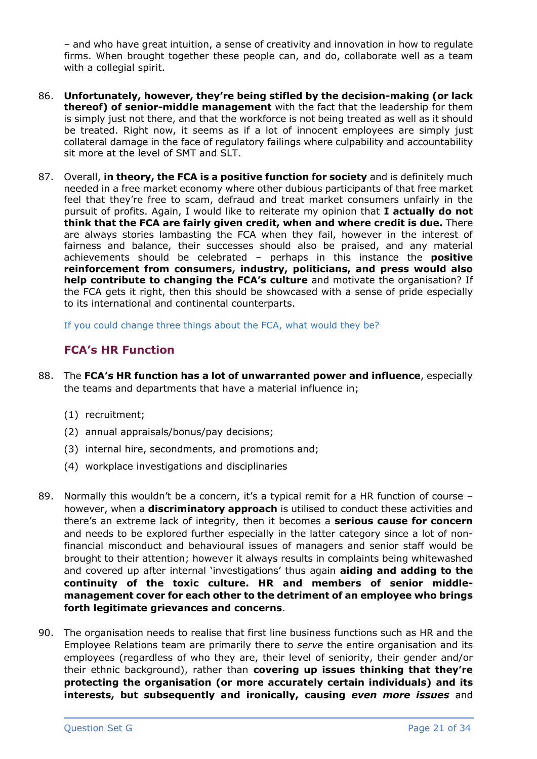– and who have great intuition, a sense of creativity and innovation in how to regulate firms. When brought together these people can, and do, collaborate well as a team with a collegial spirit.

- 86. **Unfortunately, however, they're being stifled by the decision-making (or lack thereof) of senior-middle management** with the fact that the leadership for them is simply just not there, and that the workforce is not being treated as well as it should be treated. Right now, it seems as if a lot of innocent employees are simply just collateral damage in the face of regulatory failings where culpability and accountability sit more at the level of SMT and SLT.
- 87. Overall, **in theory, the FCA is a positive function for society** and is definitely much needed in a free market economy where other dubious participants of that free market feel that they're free to scam, defraud and treat market consumers unfairly in the pursuit of profits. Again, I would like to reiterate my opinion that **I actually do not think that the FCA are fairly given credit, when and where credit is due.** There are always stories lambasting the FCA when they fail, however in the interest of fairness and balance, their successes should also be praised, and any material achievements should be celebrated – perhaps in this instance the **positive reinforcement from consumers, industry, politicians, and press would also help contribute to changing the FCA's culture** and motivate the organisation? If the FCA gets it right, then this should be showcased with a sense of pride especially to its international and continental counterparts.

If you could change three things about the FCA, what would they be?

# **FCA's HR Function**

- 88. The **FCA's HR function has a lot of unwarranted power and influence**, especially the teams and departments that have a material influence in;
	- (1) recruitment;
	- (2) annual appraisals/bonus/pay decisions;
	- (3) internal hire, secondments, and promotions and;
	- (4) workplace investigations and disciplinaries
- 89. Normally this wouldn't be a concern, it's a typical remit for a HR function of course however, when a **discriminatory approach** is utilised to conduct these activities and there's an extreme lack of integrity, then it becomes a **serious cause for concern** and needs to be explored further especially in the latter category since a lot of nonfinancial misconduct and behavioural issues of managers and senior staff would be brought to their attention; however it always results in complaints being whitewashed and covered up after internal 'investigations' thus again **aiding and adding to the continuity of the toxic culture. HR and members of senior middlemanagement cover for each other to the detriment of an employee who brings forth legitimate grievances and concerns**.
- 90. The organisation needs to realise that first line business functions such as HR and the Employee Relations team are primarily there to *serve* the entire organisation and its employees (regardless of who they are, their level of seniority, their gender and/or their ethnic background), rather than **covering up issues thinking that they're protecting the organisation (or more accurately certain individuals) and its interests, but subsequently and ironically, causing** *even more issues* and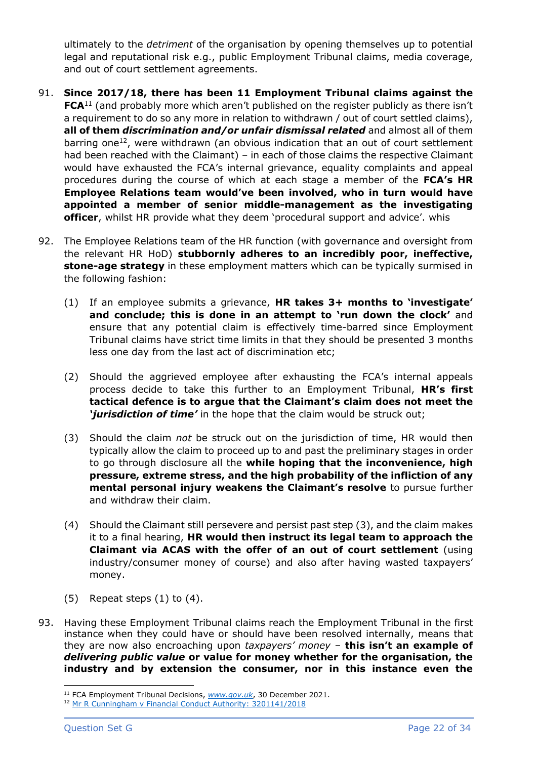ultimately to the *detriment* of the organisation by opening themselves up to potential legal and reputational risk e.g., public Employment Tribunal claims, media coverage, and out of court settlement agreements.

- 91. **Since 2017/18, there has been 11 Employment Tribunal claims against the FCA**<sup>11</sup> (and probably more which aren't published on the register publicly as there isn't a requirement to do so any more in relation to withdrawn / out of court settled claims), **all of them** *discrimination and/or unfair dismissal related* and almost all of them barring one<sup>12</sup>, were withdrawn (an obvious indication that an out of court settlement had been reached with the Claimant) – in each of those claims the respective Claimant would have exhausted the FCA's internal grievance, equality complaints and appeal procedures during the course of which at each stage a member of the **FCA's HR Employee Relations team would've been involved, who in turn would have appointed a member of senior middle-management as the investigating officer**, whilst HR provide what they deem 'procedural support and advice'. whis
- 92. The Employee Relations team of the HR function (with governance and oversight from the relevant HR HoD) **stubbornly adheres to an incredibly poor, ineffective, stone-age strategy** in these employment matters which can be typically surmised in the following fashion:
	- (1) If an employee submits a grievance, **HR takes 3+ months to 'investigate' and conclude; this is done in an attempt to 'run down the clock'** and ensure that any potential claim is effectively time-barred since Employment Tribunal claims have strict time limits in that they should be presented 3 months less one day from the last act of discrimination etc;
	- (2) Should the aggrieved employee after exhausting the FCA's internal appeals process decide to take this further to an Employment Tribunal, **HR's first tactical defence is to argue that the Claimant's claim does not meet the**  *'jurisdiction of time'* in the hope that the claim would be struck out;
	- (3) Should the claim *not* be struck out on the jurisdiction of time, HR would then typically allow the claim to proceed up to and past the preliminary stages in order to go through disclosure all the **while hoping that the inconvenience, high pressure, extreme stress, and the high probability of the infliction of any mental personal injury weakens the Claimant's resolve** to pursue further and withdraw their claim.
	- (4) Should the Claimant still persevere and persist past step (3), and the claim makes it to a final hearing, **HR would then instruct its legal team to approach the Claimant via ACAS with the offer of an out of court settlement** (using industry/consumer money of course) and also after having wasted taxpayers' money.
	- $(5)$  Repeat steps  $(1)$  to  $(4)$ .
- 93. Having these Employment Tribunal claims reach the Employment Tribunal in the first instance when they could have or should have been resolved internally, means that they are now also encroaching upon *taxpayers' money* – **this isn't an example of**  *delivering public value* **or value for money whether for the organisation, the industry and by extension the consumer, nor in this instance even the**

<sup>11</sup> FCA Employment Tribunal Decisions, *[www.gov.uk](https://www.gov.uk/employment-tribunal-decisions?keywords=financial%20conduct%20authority)*, 30 December 2021.

<sup>&</sup>lt;sup>12</sup> [Mr R Cunningham v Financial Conduct Authority: 3201141/2018](https://www.gov.uk/employment-tribunal-decisions/mr-r-cunningham-v-financial-conduct-authority-3201141-2018)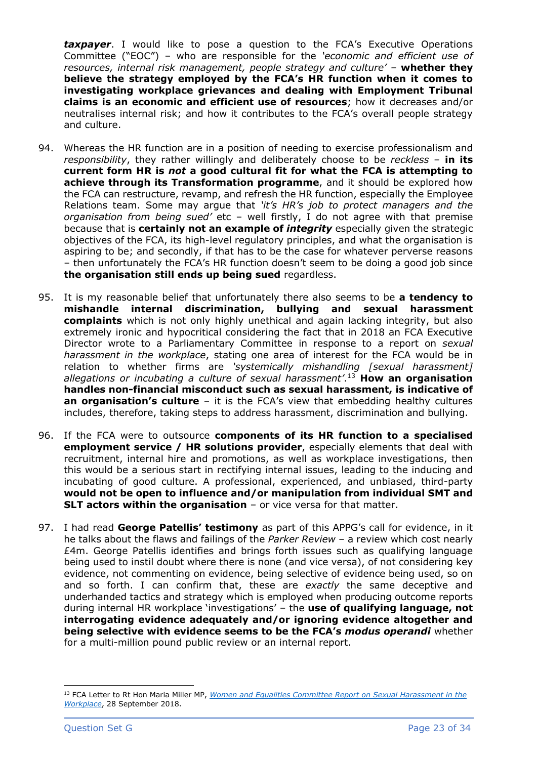**taxpayer**. I would like to pose a question to the FCA's Executive Operations Committee ("EOC") – who are responsible for the *'economic and efficient use of resources, internal risk management, people strategy and culture' –* **whether they believe the strategy employed by the FCA's HR function when it comes to investigating workplace grievances and dealing with Employment Tribunal claims is an economic and efficient use of resources**; how it decreases and/or neutralises internal risk; and how it contributes to the FCA's overall people strategy and culture.

- 94. Whereas the HR function are in a position of needing to exercise professionalism and *responsibility*, they rather willingly and deliberately choose to be *reckless* – **in its current form HR is** *not* **a good cultural fit for what the FCA is attempting to achieve through its Transformation programme**, and it should be explored how the FCA can restructure, revamp, and refresh the HR function, especially the Employee Relations team. Some may argue that *'it's HR's job to protect managers and the organisation from being sued'* etc – well firstly, I do not agree with that premise because that is **certainly not an example of** *integrity* especially given the strategic objectives of the FCA, its high-level regulatory principles, and what the organisation is aspiring to be; and secondly, if that has to be the case for whatever perverse reasons – then unfortunately the FCA's HR function doesn't seem to be doing a good job since **the organisation still ends up being sued** regardless.
- 95. It is my reasonable belief that unfortunately there also seems to be **a tendency to mishandle internal discrimination, bullying and sexual harassment complaints** which is not only highly unethical and again lacking integrity, but also extremely ironic and hypocritical considering the fact that in 2018 an FCA Executive Director wrote to a Parliamentary Committee in response to a report on *sexual harassment in the workplace*, stating one area of interest for the FCA would be in relation to whether firms are *'systemically mishandling [sexual harassment] allegations or incubating a culture of sexual harassment'*. <sup>13</sup> **How an organisation handles non-financial misconduct such as sexual harassment, is indicative of an organisation's culture** – it is the FCA's view that embedding healthy cultures includes, therefore, taking steps to address harassment, discrimination and bullying.
- 96. If the FCA were to outsource **components of its HR function to a specialised employment service / HR solutions provider**, especially elements that deal with recruitment, internal hire and promotions, as well as workplace investigations, then this would be a serious start in rectifying internal issues, leading to the inducing and incubating of good culture. A professional, experienced, and unbiased, third-party **would not be open to influence and/or manipulation from individual SMT and SLT actors within the organisation** – or vice versa for that matter.
- 97. I had read **George Patellis' testimony** as part of this APPG's call for evidence, in it he talks about the flaws and failings of the *Parker Review* – a review which cost nearly £4m. George Patellis identifies and brings forth issues such as qualifying language being used to instil doubt where there is none (and vice versa), of not considering key evidence, not commenting on evidence, being selective of evidence being used, so on and so forth. I can confirm that, these are *exactly* the same deceptive and underhanded tactics and strategy which is employed when producing outcome reports during internal HR workplace 'investigations' – the **use of qualifying language, not interrogating evidence adequately and/or ignoring evidence altogether and being selective with evidence seems to be the FCA's** *modus operandi* whether for a multi-million pound public review or an internal report.

<sup>13</sup> FCA Letter to Rt Hon Maria Miller MP, *[Women and Equalities Committee Report on Sexual Harassment in the](https://www.parliament.uk/globalassets/documents/commons-committees/women-and-equalities/Correspondence/180928-FCA.pdf)  [Workplace](https://www.parliament.uk/globalassets/documents/commons-committees/women-and-equalities/Correspondence/180928-FCA.pdf)*, 28 September 2018.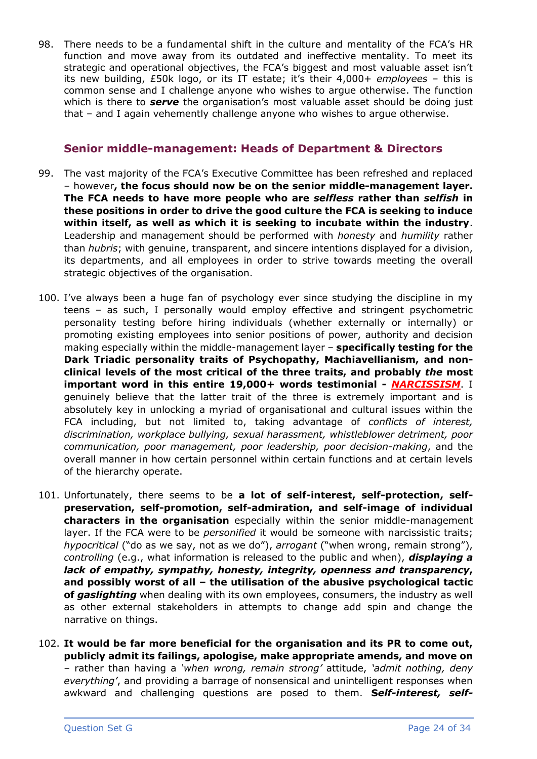98. There needs to be a fundamental shift in the culture and mentality of the FCA's HR function and move away from its outdated and ineffective mentality. To meet its strategic and operational objectives, the FCA's biggest and most valuable asset isn't its new building, £50k logo, or its IT estate; it's their 4,000+ *employees* – this is common sense and I challenge anyone who wishes to argue otherwise. The function which is there to *serve* the organisation's most valuable asset should be doing just that – and I again vehemently challenge anyone who wishes to argue otherwise.

## **Senior middle-management: Heads of Department & Directors**

- 99. The vast majority of the FCA's Executive Committee has been refreshed and replaced – however**, the focus should now be on the senior middle-management layer. The FCA needs to have more people who are** *selfless* **rather than** *selfish* **in these positions in order to drive the good culture the FCA is seeking to induce within itself, as well as which it is seeking to incubate within the industry**. Leadership and management should be performed with *honesty* and *humility* rather than *hubris*; with genuine, transparent, and sincere intentions displayed for a division, its departments, and all employees in order to strive towards meeting the overall strategic objectives of the organisation.
- 100. I've always been a huge fan of psychology ever since studying the discipline in my teens – as such, I personally would employ effective and stringent psychometric personality testing before hiring individuals (whether externally or internally) or promoting existing employees into senior positions of power, authority and decision making especially within the middle-management layer – **specifically testing for the Dark Triadic personality traits of Psychopathy, Machiavellianism, and nonclinical levels of the most critical of the three traits, and probably** *the* **most important word in this entire 19,000+ words testimonial -** *NARCISSISM*. I genuinely believe that the latter trait of the three is extremely important and is absolutely key in unlocking a myriad of organisational and cultural issues within the FCA including, but not limited to, taking advantage of *conflicts of interest, discrimination, workplace bullying, sexual harassment, whistleblower detriment, poor communication, poor management, poor leadership, poor decision-making*, and the overall manner in how certain personnel within certain functions and at certain levels of the hierarchy operate.
- 101. Unfortunately, there seems to be **a lot of self-interest, self-protection, selfpreservation, self-promotion, self-admiration, and self-image of individual characters in the organisation** especially within the senior middle-management layer. If the FCA were to be *personified* it would be someone with narcissistic traits; *hypocritical* ("do as we say, not as we do"), *arrogant* ("when wrong, remain strong"), *controlling* (e.g., what information is released to the public and when), *displaying a lack of empathy, sympathy, honesty, integrity, openness and transparency***, and possibly worst of all – the utilisation of the abusive psychological tactic of** *gaslighting* when dealing with its own employees, consumers, the industry as well as other external stakeholders in attempts to change add spin and change the narrative on things.
- 102. **It would be far more beneficial for the organisation and its PR to come out, publicly admit its failings, apologise, make appropriate amends, and move on** – rather than having a *'when wrong, remain strong'* attitude, *'admit nothing, deny everything'*, and providing a barrage of nonsensical and unintelligent responses when awkward and challenging questions are posed to them. **S***elf-interest, self-*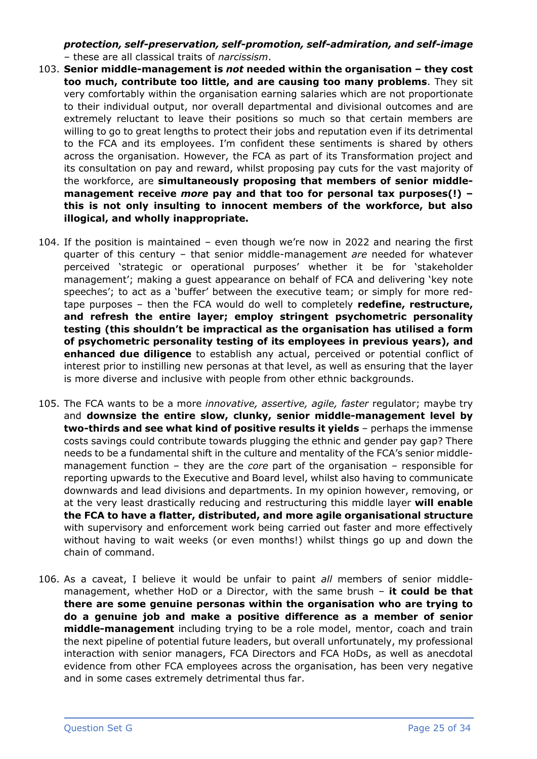*protection, self-preservation, self-promotion, self-admiration, and self-image* – these are all classical traits of *narcissism*.

- 103. **Senior middle-management is** *not* **needed within the organisation – they cost too much, contribute too little, and are causing too many problems**. They sit very comfortably within the organisation earning salaries which are not proportionate to their individual output, nor overall departmental and divisional outcomes and are extremely reluctant to leave their positions so much so that certain members are willing to go to great lengths to protect their jobs and reputation even if its detrimental to the FCA and its employees. I'm confident these sentiments is shared by others across the organisation. However, the FCA as part of its Transformation project and its consultation on pay and reward, whilst proposing pay cuts for the vast majority of the workforce, are **simultaneously proposing that members of senior middlemanagement receive** *more* **pay and that too for personal tax purposes(!) – this is not only insulting to innocent members of the workforce, but also illogical, and wholly inappropriate.**
- 104. If the position is maintained even though we're now in 2022 and nearing the first quarter of this century – that senior middle-management *are* needed for whatever perceived 'strategic or operational purposes' whether it be for 'stakeholder management'; making a guest appearance on behalf of FCA and delivering 'key note speeches'; to act as a 'buffer' between the executive team; or simply for more redtape purposes – then the FCA would do well to completely **redefine, restructure, and refresh the entire layer; employ stringent psychometric personality testing (this shouldn't be impractical as the organisation has utilised a form of psychometric personality testing of its employees in previous years), and enhanced due diligence** to establish any actual, perceived or potential conflict of interest prior to instilling new personas at that level, as well as ensuring that the layer is more diverse and inclusive with people from other ethnic backgrounds.
- 105. The FCA wants to be a more *innovative, assertive, agile, faster* regulator; maybe try and **downsize the entire slow, clunky, senior middle-management level by two-thirds and see what kind of positive results it yields** – perhaps the immense costs savings could contribute towards plugging the ethnic and gender pay gap? There needs to be a fundamental shift in the culture and mentality of the FCA's senior middlemanagement function – they are the *core* part of the organisation – responsible for reporting upwards to the Executive and Board level, whilst also having to communicate downwards and lead divisions and departments. In my opinion however, removing, or at the very least drastically reducing and restructuring this middle layer **will enable the FCA to have a flatter, distributed, and more agile organisational structure** with supervisory and enforcement work being carried out faster and more effectively without having to wait weeks (or even months!) whilst things go up and down the chain of command.
- 106. As a caveat, I believe it would be unfair to paint *all* members of senior middlemanagement, whether HoD or a Director, with the same brush – **it could be that there are some genuine personas within the organisation who are trying to do a genuine job and make a positive difference as a member of senior middle-management** including trying to be a role model, mentor, coach and train the next pipeline of potential future leaders, but overall unfortunately, my professional interaction with senior managers, FCA Directors and FCA HoDs, as well as anecdotal evidence from other FCA employees across the organisation, has been very negative and in some cases extremely detrimental thus far.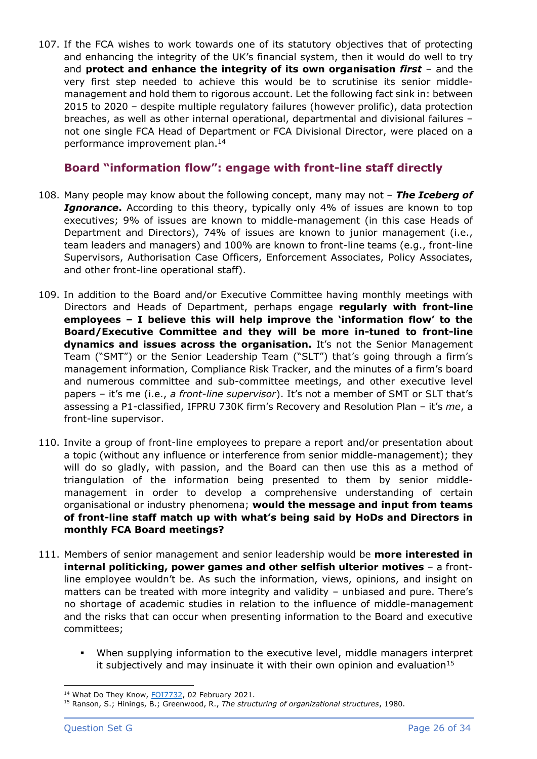107. If the FCA wishes to work towards one of its statutory objectives that of protecting and enhancing the integrity of the UK's financial system, then it would do well to try and **protect and enhance the integrity of its own organisation** *first* – and the very first step needed to achieve this would be to scrutinise its senior middlemanagement and hold them to rigorous account. Let the following fact sink in: between 2015 to 2020 – despite multiple regulatory failures (however prolific), data protection breaches, as well as other internal operational, departmental and divisional failures – not one single FCA Head of Department or FCA Divisional Director, were placed on a performance improvement plan. 14

# **Board "information flow": engage with front-line staff directly**

- 108. Many people may know about the following concept, many may not *The Iceberg of*  **Ignorance.** According to this theory, typically only 4% of issues are known to top executives; 9% of issues are known to middle-management (in this case Heads of Department and Directors), 74% of issues are known to junior management (i.e., team leaders and managers) and 100% are known to front-line teams (e.g., front-line Supervisors, Authorisation Case Officers, Enforcement Associates, Policy Associates, and other front-line operational staff).
- 109. In addition to the Board and/or Executive Committee having monthly meetings with Directors and Heads of Department, perhaps engage **regularly with front-line employees – I believe this will help improve the 'information flow' to the Board/Executive Committee and they will be more in-tuned to front-line dynamics and issues across the organisation.** It's not the Senior Management Team ("SMT") or the Senior Leadership Team ("SLT") that's going through a firm's management information, Compliance Risk Tracker, and the minutes of a firm's board and numerous committee and sub-committee meetings, and other executive level papers – it's me (i.e., *a front-line supervisor*). It's not a member of SMT or SLT that's assessing a P1-classified, IFPRU 730K firm's Recovery and Resolution Plan – it's *me*, a front-line supervisor.
- 110. Invite a group of front-line employees to prepare a report and/or presentation about a topic (without any influence or interference from senior middle-management); they will do so gladly, with passion, and the Board can then use this as a method of triangulation of the information being presented to them by senior middlemanagement in order to develop a comprehensive understanding of certain organisational or industry phenomena; **would the message and input from teams of front-line staff match up with what's being said by HoDs and Directors in monthly FCA Board meetings?**
- 111. Members of senior management and senior leadership would be **more interested in internal politicking, power games and other selfish ulterior motives** – a frontline employee wouldn't be. As such the information, views, opinions, and insight on matters can be treated with more integrity and validity – unbiased and pure. There's no shortage of academic studies in relation to the influence of middle-management and the risks that can occur when presenting information to the Board and executive committees;
	- When supplying information to the executive level, middle managers interpret it subjectively and may insinuate it with their own opinion and evaluation<sup>15</sup>

<sup>&</sup>lt;sup>14</sup> What Do They Know, [FOI7732,](https://www.whatdotheyknow.com/request/699642/response/1716591/attach/html/6/FOI7732%20Internal%20Review%20response%20final%20PDF%2020210202.pdf.html) 02 February 2021.

<sup>15</sup> Ranson, S.; Hinings, B.; Greenwood, R., *The structuring of organizational structures*, 1980.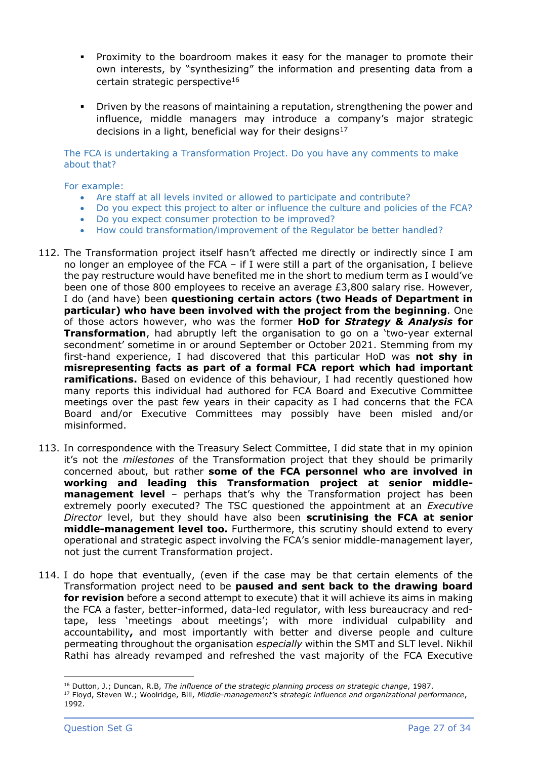- Proximity to the boardroom makes it easy for the manager to promote their own interests, by "synthesizing" the information and presenting data from a certain strategic perspective<sup>16</sup>
- **•** Driven by the reasons of maintaining a reputation, strengthening the power and influence, middle managers may introduce a company's major strategic decisions in a light, beneficial way for their designs<sup>17</sup>

The FCA is undertaking a Transformation Project. Do you have any comments to make about that?

#### For example:

- Are staff at all levels invited or allowed to participate and contribute?
- Do you expect this project to alter or influence the culture and policies of the FCA?
- Do you expect consumer protection to be improved?
- How could transformation/improvement of the Regulator be better handled?
- 112. The Transformation project itself hasn't affected me directly or indirectly since I am no longer an employee of the FCA – if I were still a part of the organisation, I believe the pay restructure would have benefited me in the short to medium term as I would've been one of those 800 employees to receive an average £3,800 salary rise. However, I do (and have) been **questioning certain actors (two Heads of Department in particular) who have been involved with the project from the beginning**. One of those actors however, who was the former **HoD for** *Strategy & Analysis* **for Transformation**, had abruptly left the organisation to go on a 'two-year external secondment' sometime in or around September or October 2021. Stemming from my first-hand experience, I had discovered that this particular HoD was **not shy in misrepresenting facts as part of a formal FCA report which had important ramifications.** Based on evidence of this behaviour, I had recently questioned how many reports this individual had authored for FCA Board and Executive Committee meetings over the past few years in their capacity as I had concerns that the FCA Board and/or Executive Committees may possibly have been misled and/or misinformed.
- 113. In correspondence with the Treasury Select Committee, I did state that in my opinion it's not the *milestones* of the Transformation project that they should be primarily concerned about, but rather **some of the FCA personnel who are involved in working and leading this Transformation project at senior middlemanagement level** – perhaps that's why the Transformation project has been extremely poorly executed? The TSC questioned the appointment at an *Executive Director* level, but they should have also been **scrutinising the FCA at senior middle-management level too.** Furthermore, this scrutiny should extend to every operational and strategic aspect involving the FCA's senior middle-management layer, not just the current Transformation project.
- 114. I do hope that eventually, (even if the case may be that certain elements of the Transformation project need to be **paused and sent back to the drawing board for revision** before a second attempt to execute) that it will achieve its aims in making the FCA a faster, better-informed, data-led regulator, with less bureaucracy and redtape, less 'meetings about meetings'; with more individual culpability and accountability**,** and most importantly with better and diverse people and culture permeating throughout the organisation *especially* within the SMT and SLT level. Nikhil Rathi has already revamped and refreshed the vast majority of the FCA Executive

<sup>16</sup> Dutton, J.; Duncan, R.B, *The influence of the strategic planning process on strategic change*, 1987.

<sup>17</sup> Floyd, Steven W.; Woolridge, Bill, *Middle-management's strategic influence and organizational performance*, 1992.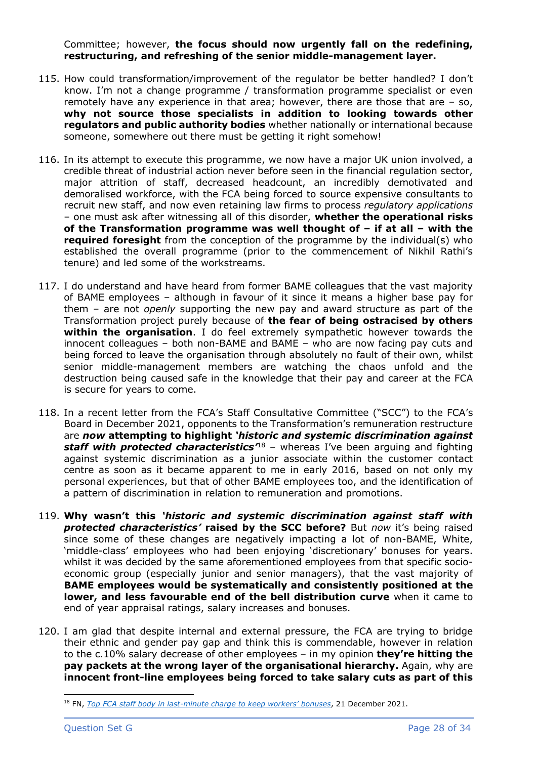Committee; however, **the focus should now urgently fall on the redefining, restructuring, and refreshing of the senior middle-management layer.**

- 115. How could transformation/improvement of the regulator be better handled? I don't know. I'm not a change programme / transformation programme specialist or even remotely have any experience in that area; however, there are those that are – so, **why not source those specialists in addition to looking towards other regulators and public authority bodies** whether nationally or international because someone, somewhere out there must be getting it right somehow!
- 116. In its attempt to execute this programme, we now have a major UK union involved, a credible threat of industrial action never before seen in the financial regulation sector, major attrition of staff, decreased headcount, an incredibly demotivated and demoralised workforce, with the FCA being forced to source expensive consultants to recruit new staff, and now even retaining law firms to process *regulatory applications* – one must ask after witnessing all of this disorder, **whether the operational risks of the Transformation programme was well thought of – if at all – with the required foresight** from the conception of the programme by the individual(s) who established the overall programme (prior to the commencement of Nikhil Rathi's tenure) and led some of the workstreams.
- 117. I do understand and have heard from former BAME colleagues that the vast majority of BAME employees – although in favour of it since it means a higher base pay for them – are not *openly* supporting the new pay and award structure as part of the Transformation project purely because of **the fear of being ostracised by others within the organisation**. I do feel extremely sympathetic however towards the innocent colleagues – both non-BAME and BAME – who are now facing pay cuts and being forced to leave the organisation through absolutely no fault of their own, whilst senior middle-management members are watching the chaos unfold and the destruction being caused safe in the knowledge that their pay and career at the FCA is secure for years to come.
- 118. In a recent letter from the FCA's Staff Consultative Committee ("SCC") to the FCA's Board in December 2021, opponents to the Transformation's remuneration restructure are *now* **attempting to highlight** *'historic and systemic discrimination against staff with protected characteristics'*<sup>18</sup> – whereas I've been arguing and fighting against systemic discrimination as a junior associate within the customer contact centre as soon as it became apparent to me in early 2016, based on not only my personal experiences, but that of other BAME employees too, and the identification of a pattern of discrimination in relation to remuneration and promotions.
- 119. **Why wasn't this** *'historic and systemic discrimination against staff with protected characteristics'* **raised by the SCC before?** But *now* it's being raised since some of these changes are negatively impacting a lot of non-BAME, White, 'middle-class' employees who had been enjoying 'discretionary' bonuses for years. whilst it was decided by the same aforementioned employees from that specific socioeconomic group (especially junior and senior managers), that the vast majority of **BAME employees would be systematically and consistently positioned at the lower, and less favourable end of the bell distribution curve** when it came to end of year appraisal ratings, salary increases and bonuses.
- 120. I am glad that despite internal and external pressure, the FCA are trying to bridge their ethnic and gender pay gap and think this is commendable, however in relation to the c.10% salary decrease of other employees – in my opinion **they're hitting the pay packets at the wrong layer of the organisational hierarchy.** Again, why are **innocent front-line employees being forced to take salary cuts as part of this**

<sup>18</sup> FN, *Top FCA staff body in last-[minute charge to keep workers' bonuses](https://www.fnlondon.com/articles/top-fca-staff-body-in-last-minute-charge-to-keep-workers-bonuses-20211221)*, 21 December 2021.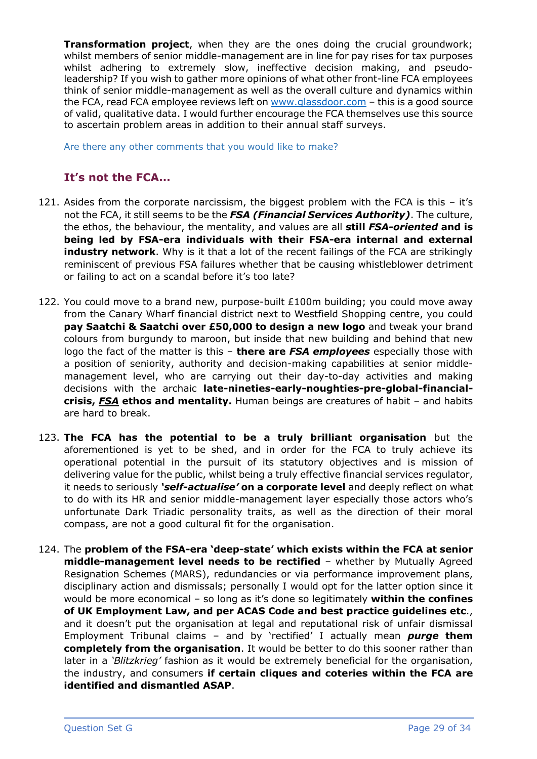**Transformation project**, when they are the ones doing the crucial groundwork; whilst members of senior middle-management are in line for pay rises for tax purposes whilst adhering to extremely slow, ineffective decision making, and pseudoleadership? If you wish to gather more opinions of what other front-line FCA employees think of senior middle-management as well as the overall culture and dynamics within the FCA, read FCA employee reviews left on [www.glassdoor.com](https://www.glassdoor.co.uk/Reviews/Financial-Conduct-Authority-Reviews-E674811.htm) - this is a good source of valid, qualitative data. I would further encourage the FCA themselves use this source to ascertain problem areas in addition to their annual staff surveys.

Are there any other comments that you would like to make?

# **It's not the FCA…**

- 121. Asides from the corporate narcissism, the biggest problem with the FCA is this it's not the FCA, it still seems to be the *FSA (Financial Services Authority)*. The culture, the ethos, the behaviour, the mentality, and values are all **still** *FSA-oriented* **and is being led by FSA-era individuals with their FSA-era internal and external industry network**. Why is it that a lot of the recent failings of the FCA are strikingly reminiscent of previous FSA failures whether that be causing whistleblower detriment or failing to act on a scandal before it's too late?
- 122. You could move to a brand new, purpose-built £100m building; you could move away from the Canary Wharf financial district next to Westfield Shopping centre, you could **pay Saatchi & Saatchi over £50,000 to design a new logo** and tweak your brand colours from burgundy to maroon, but inside that new building and behind that new logo the fact of the matter is this – **there are** *FSA employees* especially those with a position of seniority, authority and decision-making capabilities at senior middlemanagement level, who are carrying out their day-to-day activities and making decisions with the archaic **late-nineties-early-noughties-pre-global-financialcrisis,** *FSA* **ethos and mentality.** Human beings are creatures of habit – and habits are hard to break.
- 123. **The FCA has the potential to be a truly brilliant organisation** but the aforementioned is yet to be shed, and in order for the FCA to truly achieve its operational potential in the pursuit of its statutory objectives and is mission of delivering value for the public, whilst being a truly effective financial services regulator, it needs to seriously *'self-actualise'* **on a corporate level** and deeply reflect on what to do with its HR and senior middle-management layer especially those actors who's unfortunate Dark Triadic personality traits, as well as the direction of their moral compass, are not a good cultural fit for the organisation.
- 124. The **problem of the FSA-era 'deep-state' which exists within the FCA at senior middle-management level needs to be rectified** – whether by Mutually Agreed Resignation Schemes (MARS), redundancies or via performance improvement plans, disciplinary action and dismissals; personally I would opt for the latter option since it would be more economical – so long as it's done so legitimately **within the confines of UK Employment Law, and per ACAS Code and best practice guidelines etc**., and it doesn't put the organisation at legal and reputational risk of unfair dismissal Employment Tribunal claims – and by 'rectified' I actually mean *purge* **them completely from the organisation**. It would be better to do this sooner rather than later in a *'Blitzkrieg'* fashion as it would be extremely beneficial for the organisation, the industry, and consumers **if certain cliques and coteries within the FCA are identified and dismantled ASAP**.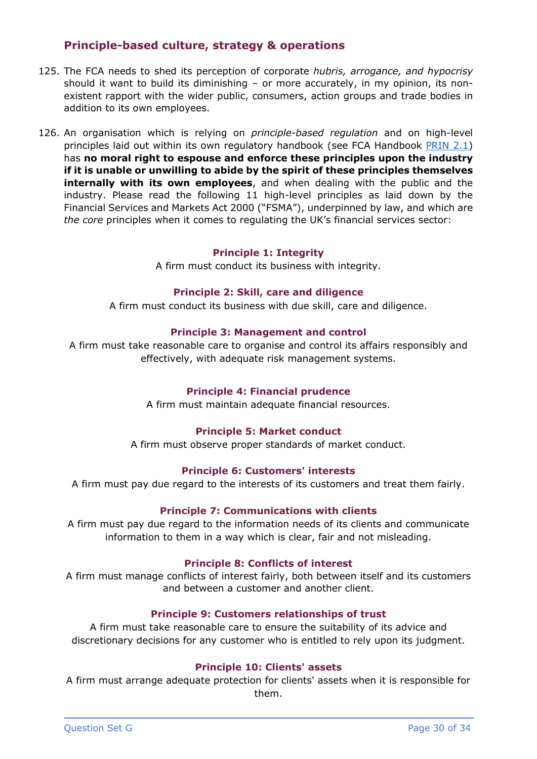# **Principle-based culture, strategy & operations**

- 125. The FCA needs to shed its perception of corporate *hubris, arrogance, and hypocrisy* should it want to build its diminishing – or more accurately, in my opinion, its nonexistent rapport with the wider public, consumers, action groups and trade bodies in addition to its own employees.
- 126. An organisation which is relying on *principle-based regulation* and on high-level principles laid out within its own regulatory handbook (see FCA Handbook [PRIN 2.1\)](https://www.handbook.fca.org.uk/handbook/PRIN/2/1.html) has **no moral right to espouse and enforce these principles upon the industry if it is unable or unwilling to abide by the spirit of these principles themselves internally with its own employees**, and when dealing with the public and the industry. Please read the following 11 high-level principles as laid down by the Financial Services and Markets Act 2000 ("FSMA"), underpinned by law, and which are *the core* principles when it comes to regulating the UK's financial services sector:

#### **Principle 1: Integrity**

A firm must conduct its business with integrity.

### **Principle 2: Skill, care and diligence**

A firm must conduct its business with due skill, care and diligence.

#### **Principle 3: Management and control**

A firm must take reasonable care to organise and control its affairs responsibly and effectively, with adequate risk management systems.

### **Principle 4: Financial prudence**

A firm must maintain adequate financial resources.

#### **Principle 5: Market conduct**

A firm must observe proper standards of market conduct.

#### **Principle 6: Customers' interests**

A firm must pay due regard to the interests of its customers and treat them fairly.

#### **Principle 7: Communications with clients**

A firm must pay due regard to the information needs of its clients and communicate information to them in a way which is clear, fair and not misleading.

#### **Principle 8: Conflicts of interest**

A firm must manage conflicts of interest fairly, both between itself and its customers and between a customer and another client.

#### **Principle 9: Customers relationships of trust**

A firm must take reasonable care to ensure the suitability of its advice and discretionary decisions for any customer who is entitled to rely upon its judgment.

### **Principle 10: Clients' assets**

A firm must arrange adequate protection for clients' assets when it is responsible for them.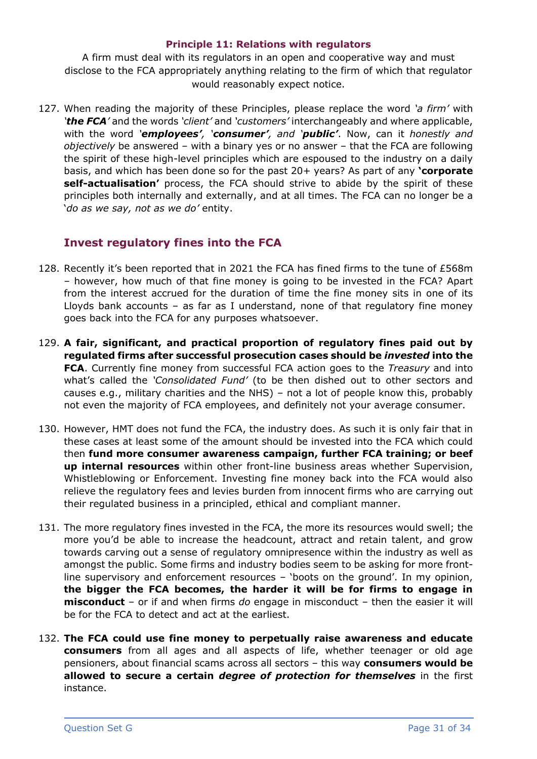### **Principle 11: Relations with regulators**

A firm must deal with its regulators in an open and cooperative way and must disclose to the FCA appropriately anything relating to the firm of which that regulator would reasonably expect notice.

127. When reading the majority of these Principles, please replace the word *'a firm'* with *'the FCA'* and the words *'client'* and *'customers'* interchangeably and where applicable, with the word *'employees', 'consumer', and 'public'*. Now, can it *honestly and objectively* be answered – with a binary yes or no answer – that the FCA are following the spirit of these high-level principles which are espoused to the industry on a daily basis, and which has been done so for the past 20+ years? As part of any **'corporate self-actualisation'** process, the FCA should strive to abide by the spirit of these principles both internally and externally, and at all times. The FCA can no longer be a '*do as we say, not as we do'* entity.

# **Invest regulatory fines into the FCA**

- 128. Recently it's been reported that in 2021 the FCA has fined firms to the tune of £568m – however, how much of that fine money is going to be invested in the FCA? Apart from the interest accrued for the duration of time the fine money sits in one of its Lloyds bank accounts – as far as I understand, none of that regulatory fine money goes back into the FCA for any purposes whatsoever.
- 129. **A fair, significant, and practical proportion of regulatory fines paid out by regulated firms after successful prosecution cases should be** *invested* **into the FCA**. Currently fine money from successful FCA action goes to the *Treasury* and into what's called the *'Consolidated Fund'* (to be then dished out to other sectors and causes e.g., military charities and the NHS) – not a lot of people know this, probably not even the majority of FCA employees, and definitely not your average consumer.
- 130. However, HMT does not fund the FCA, the industry does. As such it is only fair that in these cases at least some of the amount should be invested into the FCA which could then **fund more consumer awareness campaign, further FCA training; or beef up internal resources** within other front-line business areas whether Supervision, Whistleblowing or Enforcement. Investing fine money back into the FCA would also relieve the regulatory fees and levies burden from innocent firms who are carrying out their regulated business in a principled, ethical and compliant manner.
- 131. The more regulatory fines invested in the FCA, the more its resources would swell; the more you'd be able to increase the headcount, attract and retain talent, and grow towards carving out a sense of regulatory omnipresence within the industry as well as amongst the public. Some firms and industry bodies seem to be asking for more frontline supervisory and enforcement resources – 'boots on the ground'. In my opinion, **the bigger the FCA becomes, the harder it will be for firms to engage in misconduct** – or if and when firms *do* engage in misconduct – then the easier it will be for the FCA to detect and act at the earliest.
- 132. **The FCA could use fine money to perpetually raise awareness and educate consumers** from all ages and all aspects of life, whether teenager or old age pensioners, about financial scams across all sectors – this way **consumers would be allowed to secure a certain** *degree of protection for themselves* in the first instance.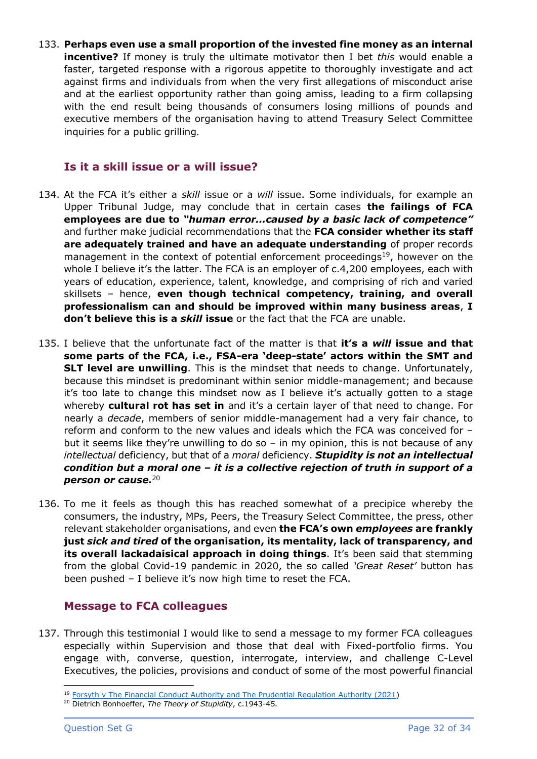133. **Perhaps even use a small proportion of the invested fine money as an internal incentive?** If money is truly the ultimate motivator then I bet *this* would enable a faster, targeted response with a rigorous appetite to thoroughly investigate and act against firms and individuals from when the very first allegations of misconduct arise and at the earliest opportunity rather than going amiss, leading to a firm collapsing with the end result being thousands of consumers losing millions of pounds and executive members of the organisation having to attend Treasury Select Committee inquiries for a public grilling.

## **Is it a skill issue or a will issue?**

- 134. At the FCA it's either a *skill* issue or a *will* issue. Some individuals, for example an Upper Tribunal Judge, may conclude that in certain cases **the failings of FCA employees are due to** *"human error…caused by a basic lack of competence"* and further make judicial recommendations that the **FCA consider whether its staff are adequately trained and have an adequate understanding** of proper records management in the context of potential enforcement proceedings<sup>19</sup>, however on the whole I believe it's the latter. The FCA is an employer of c.4,200 employees, each with years of education, experience, talent, knowledge, and comprising of rich and varied skillsets – hence, **even though technical competency, training, and overall professionalism can and should be improved within many business areas**, **I don't believe this is a** *skill* **issue** or the fact that the FCA are unable.
- 135. I believe that the unfortunate fact of the matter is that **it's a** *will* **issue and that some parts of the FCA, i.e., FSA-era 'deep-state' actors within the SMT and SLT level are unwilling**. This is the mindset that needs to change. Unfortunately, because this mindset is predominant within senior middle-management; and because it's too late to change this mindset now as I believe it's actually gotten to a stage whereby **cultural rot has set in** and it's a certain layer of that need to change. For nearly a *decade*, members of senior middle-management had a very fair chance, to reform and conform to the new values and ideals which the FCA was conceived for – but it seems like they're unwilling to do so – in my opinion, this is not because of any *intellectual* deficiency, but that of a *moral* deficiency. *Stupidity is not an intellectual condition but a moral one – it is a collective rejection of truth in support of a person or cause.* 20
- 136. To me it feels as though this has reached somewhat of a precipice whereby the consumers, the industry, MPs, Peers, the Treasury Select Committee, the press, other relevant stakeholder organisations, and even **the FCA's own** *employees* **are frankly just** *sick and tired* **of the organisation, its mentality, lack of transparency, and its overall lackadaisical approach in doing things.** It's been said that stemming from the global Covid-19 pandemic in 2020, the so called *'Great Reset'* button has been pushed – I believe it's now high time to reset the FCA.

### **Message to FCA colleagues**

137. Through this testimonial I would like to send a message to my former FCA colleagues especially within Supervision and those that deal with Fixed-portfolio firms. You engage with, converse, question, interrogate, interview, and challenge C-Level Executives, the policies, provisions and conduct of some of the most powerful financial

<sup>&</sup>lt;sup>19</sup> [Forsyth v The Financial Conduct Authority and The Prudential Regulation Authority \(2021\)](https://assets.publishing.service.gov.uk/media/60e45bea8fa8f50c6f050b27/Forsyth_decision_for_release.pdf)

<sup>20</sup> Dietrich Bonhoeffer, *The Theory of Stupidity*, c.1943-45*.*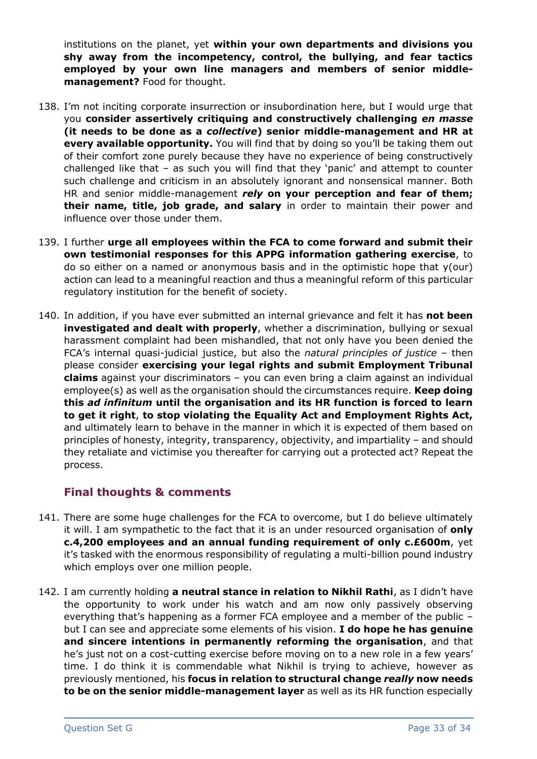institutions on the planet, yet **within your own departments and divisions you shy away from the incompetency, control, the bullying, and fear tactics employed by your own line managers and members of senior middlemanagement?** Food for thought.

- 138. I'm not inciting corporate insurrection or insubordination here, but I would urge that you **consider assertively critiquing and constructively challenging** *en masse* **(it needs to be done as a** *collective***) senior middle-management and HR at every available opportunity.** You will find that by doing so you'll be taking them out of their comfort zone purely because they have no experience of being constructively challenged like that – as such you will find that they 'panic' and attempt to counter such challenge and criticism in an absolutely ignorant and nonsensical manner. Both HR and senior middle-management *rely* **on your perception and fear of them; their name, title, job grade, and salary** in order to maintain their power and influence over those under them.
- 139. I further **urge all employees within the FCA to come forward and submit their own testimonial responses for this APPG information gathering exercise**, to do so either on a named or anonymous basis and in the optimistic hope that y(our) action can lead to a meaningful reaction and thus a meaningful reform of this particular regulatory institution for the benefit of society.
- 140. In addition, if you have ever submitted an internal grievance and felt it has **not been investigated and dealt with properly**, whether a discrimination, bullying or sexual harassment complaint had been mishandled, that not only have you been denied the FCA's internal quasi-judicial justice, but also the *natural principles of justice* – then please consider **exercising your legal rights and submit Employment Tribunal claims** against your discriminators – you can even bring a claim against an individual employee(s) as well as the organisation should the circumstances require. **Keep doing this** *ad infinitum* **until the organisation and its HR function is forced to learn to get it right**, **to stop violating the Equality Act and Employment Rights Act,**  and ultimately learn to behave in the manner in which it is expected of them based on principles of honesty, integrity, transparency, objectivity, and impartiality – and should they retaliate and victimise you thereafter for carrying out a protected act? Repeat the process.

# **Final thoughts & comments**

- 141. There are some huge challenges for the FCA to overcome, but I do believe ultimately it will. I am sympathetic to the fact that it is an under resourced organisation of **only c.4,200 employees and an annual funding requirement of only c.£600m**, yet it's tasked with the enormous responsibility of regulating a multi-billion pound industry which employs over one million people.
- 142. I am currently holding **a neutral stance in relation to Nikhil Rathi**, as I didn't have the opportunity to work under his watch and am now only passively observing everything that's happening as a former FCA employee and a member of the public – but I can see and appreciate some elements of his vision. **I do hope he has genuine and sincere intentions in permanently reforming the organisation**, and that he's just not on a cost-cutting exercise before moving on to a new role in a few years' time. I do think it is commendable what Nikhil is trying to achieve, however as previously mentioned, his **focus in relation to structural change** *really* **now needs to be on the senior middle-management layer** as well as its HR function especially